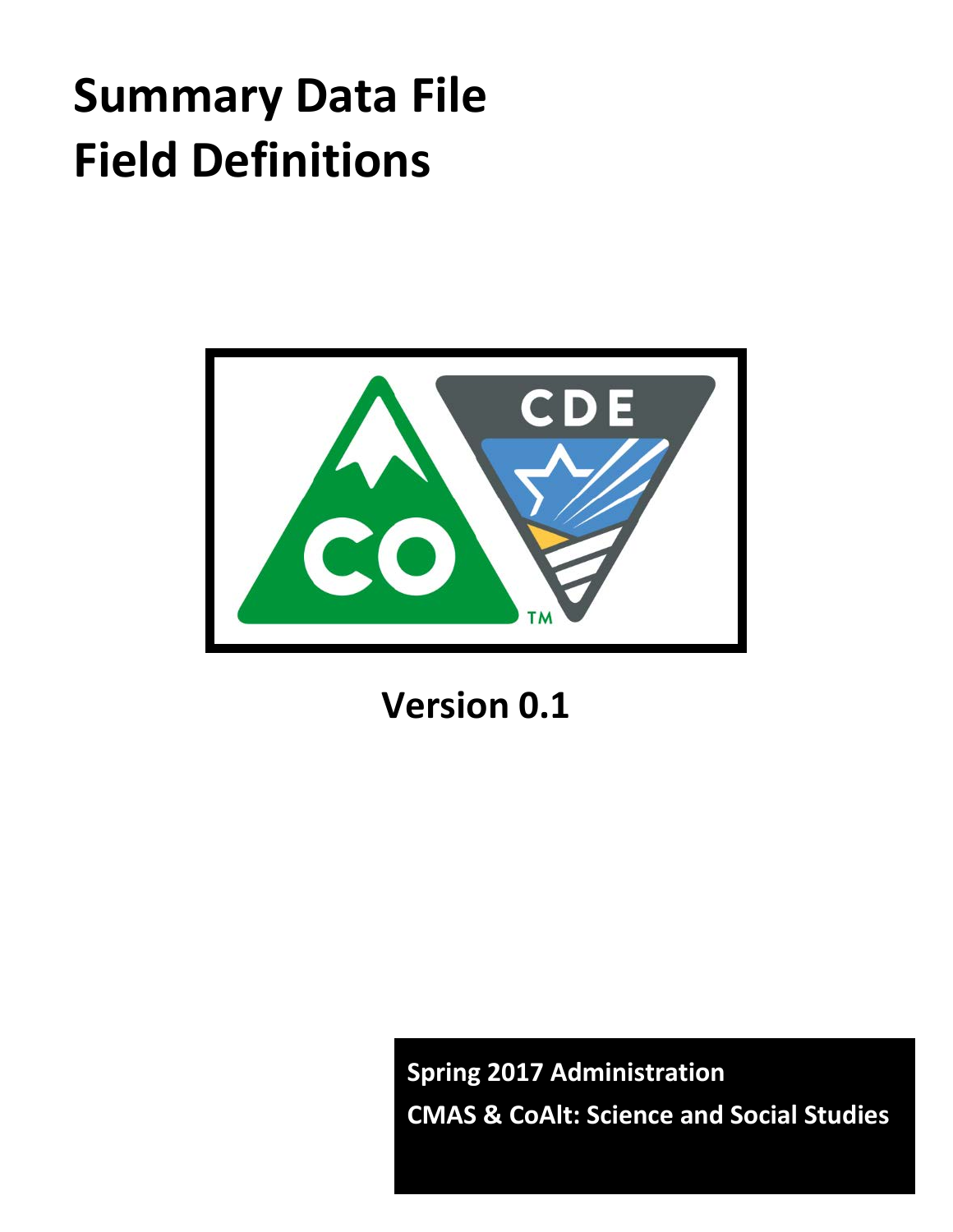# **Summary Data File Field Definitions**



**Version 0.1**

**Spring 2017 Administration CMAS & CoAlt: Science and Social Studies**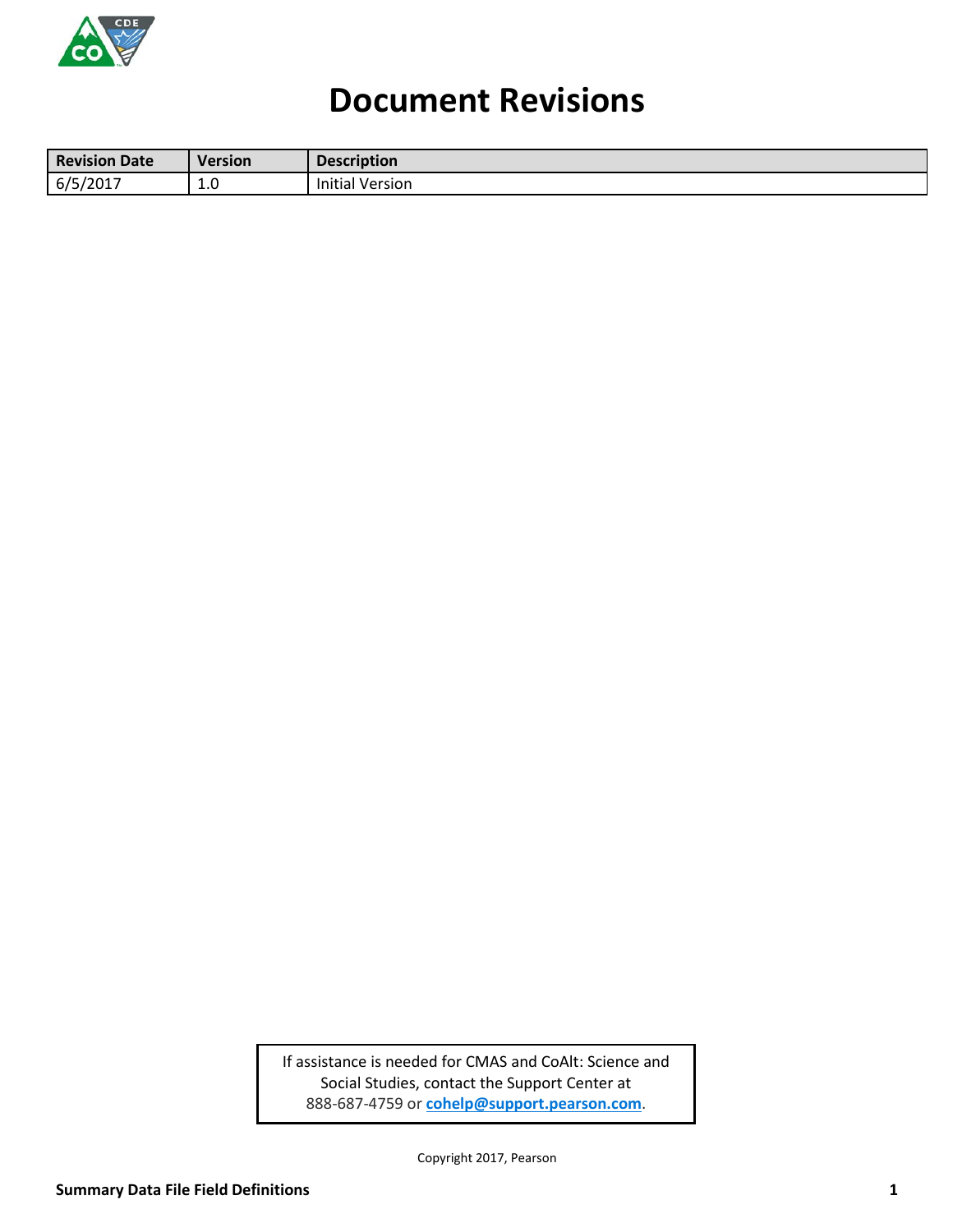

# **Document Revisions**

| Revision<br>Date    | <b>Version</b> | <b>Description</b>      |
|---------------------|----------------|-------------------------|
| 6/5<br>12017<br>-∪⊥ | ⊥.∪            | .<br>Version<br>Initial |

If assistance is needed for CMAS and CoAlt: Science and Social Studies, contact the Support Center at 888-687-4759 or **[cohelp@support.pearson.com](mailto:cohelp@support.pearson.com)**.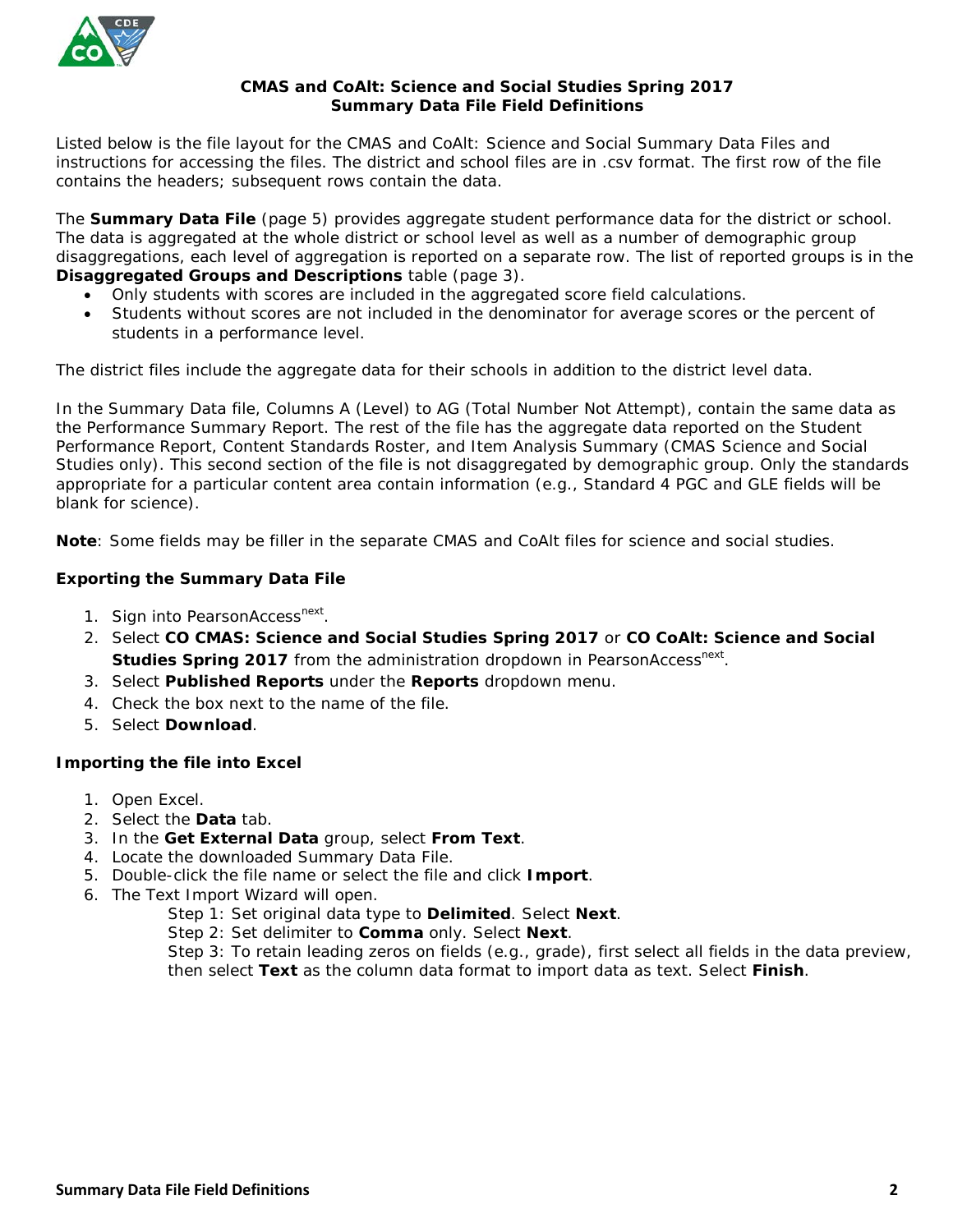

#### **CMAS and CoAlt: Science and Social Studies Spring 2017 Summary Data File Field Definitions**

Listed below is the file layout for the CMAS and CoAlt: Science and Social Summary Data Files and instructions for accessing the files. The district and school files are in .csv format. The first row of the file contains the headers; subsequent rows contain the data.

The **Summary Data File** (page 5) provides aggregate student performance data for the district or school. The data is aggregated at the whole district or school level as well as a number of demographic group disaggregations, each level of aggregation is reported on a separate row. The list of reported groups is in the **Disaggregated Groups and Descriptions** table (page 3).

- Only students with scores are included in the aggregated score field calculations.
- Students without scores are not included in the denominator for average scores or the percent of students in a performance level.

The district files include the aggregate data for their schools in addition to the district level data.

In the Summary Data file, Columns A (Level) to AG (Total Number Not Attempt), contain the same data as the Performance Summary Report. The rest of the file has the aggregate data reported on the Student Performance Report, Content Standards Roster, and Item Analysis Summary (CMAS Science and Social Studies only). This second section of the file is not disaggregated by demographic group. Only the standards appropriate for a particular content area contain information (e.g., Standard 4 PGC and GLE fields will be blank for science).

**Note**: Some fields may be filler in the separate CMAS and CoAlt files for science and social studies.

#### **Exporting the Summary Data File**

- 1. Sign into PearsonAccess<sup>next</sup>.
- 2. Select **CO CMAS: Science and Social Studies Spring 2017** or **CO CoAlt: Science and Social Studies Spring 2017** from the administration dropdown in PearsonAccess<sup>next</sup>.
- 3. Select **Published Reports** under the **Reports** dropdown menu.
- 4. Check the box next to the name of the file.
- 5. Select **Download**.

#### **Importing the file into Excel**

- 1. Open Excel.
- 2. Select the **Data** tab.
- 3. In the **Get External Data** group, select **From Text**.
- 4. Locate the downloaded Summary Data File.
- 5. Double-click the file name or select the file and click **Import**.
- 6. The Text Import Wizard will open.
	- Step 1: Set original data type to **Delimited**. Select **Next**.
		- Step 2: Set delimiter to **Comma** only. Select **Next**.

Step 3: To retain leading zeros on fields (e.g., grade), first select all fields in the data preview, then select **Text** as the column data format to import data as text. Select **Finish**.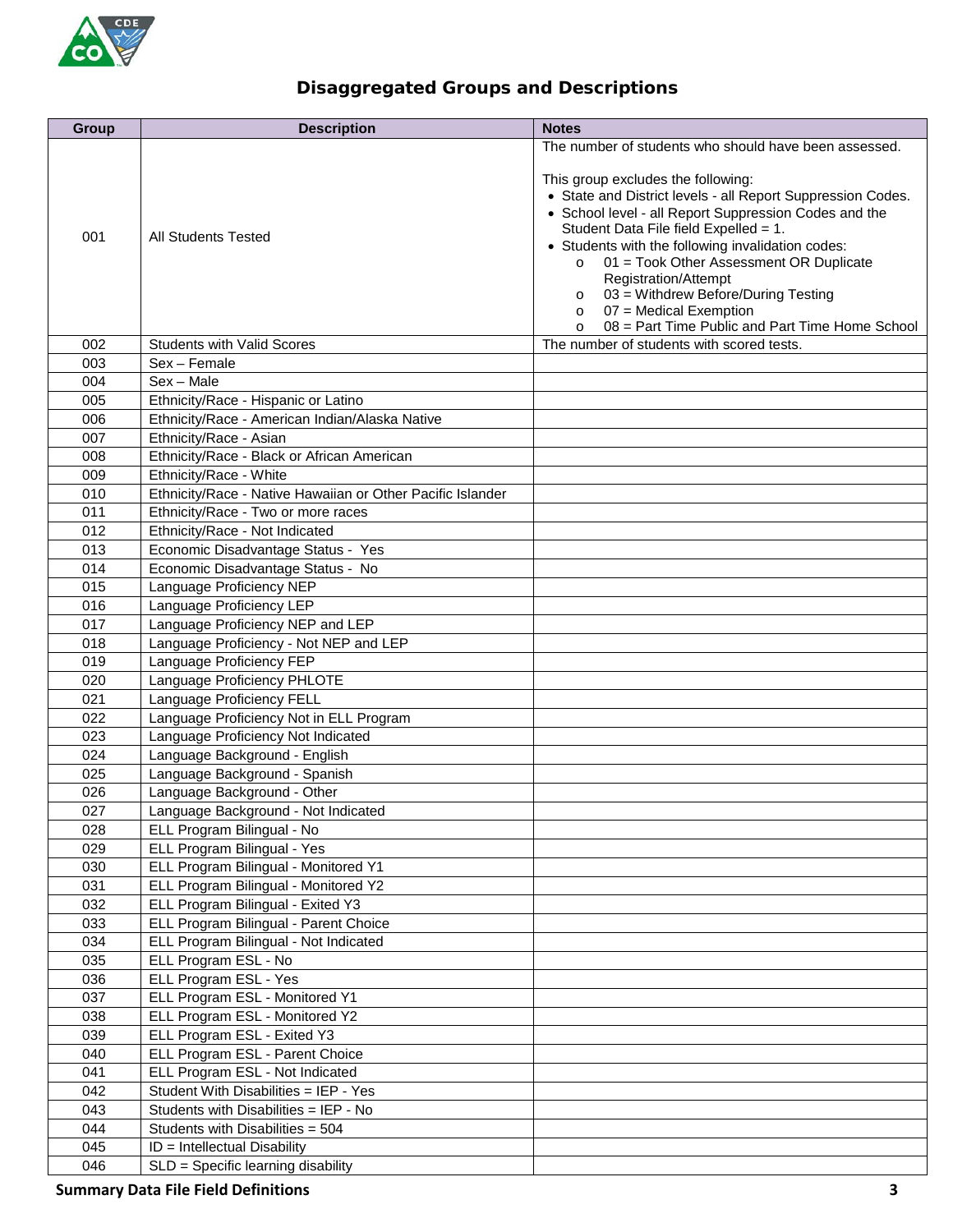

### **Disaggregated Groups and Descriptions**

| <b>Group</b> | <b>Description</b>                                         | <b>Notes</b>                                                                                                                                                                                                                                                                                                                                                                                                                                                                       |
|--------------|------------------------------------------------------------|------------------------------------------------------------------------------------------------------------------------------------------------------------------------------------------------------------------------------------------------------------------------------------------------------------------------------------------------------------------------------------------------------------------------------------------------------------------------------------|
|              |                                                            | The number of students who should have been assessed.                                                                                                                                                                                                                                                                                                                                                                                                                              |
| 001          | All Students Tested                                        | This group excludes the following:<br>• State and District levels - all Report Suppression Codes.<br>• School level - all Report Suppression Codes and the<br>Student Data File field Expelled = 1.<br>• Students with the following invalidation codes:<br>01 = Took Other Assessment OR Duplicate<br>$\circ$<br>Registration/Attempt<br>$\circ$ 03 = Withdrew Before/During Testing<br>$\circ$ 07 = Medical Exemption<br>$\circ$ 08 = Part Time Public and Part Time Home School |
| 002          | <b>Students with Valid Scores</b>                          | The number of students with scored tests.                                                                                                                                                                                                                                                                                                                                                                                                                                          |
| 003          | Sex - Female                                               |                                                                                                                                                                                                                                                                                                                                                                                                                                                                                    |
| 004          | $Sex - Male$                                               |                                                                                                                                                                                                                                                                                                                                                                                                                                                                                    |
| 005          | Ethnicity/Race - Hispanic or Latino                        |                                                                                                                                                                                                                                                                                                                                                                                                                                                                                    |
| 006          | Ethnicity/Race - American Indian/Alaska Native             |                                                                                                                                                                                                                                                                                                                                                                                                                                                                                    |
| 007          | Ethnicity/Race - Asian                                     |                                                                                                                                                                                                                                                                                                                                                                                                                                                                                    |
| 008          | Ethnicity/Race - Black or African American                 |                                                                                                                                                                                                                                                                                                                                                                                                                                                                                    |
| 009          | Ethnicity/Race - White                                     |                                                                                                                                                                                                                                                                                                                                                                                                                                                                                    |
| 010          | Ethnicity/Race - Native Hawaiian or Other Pacific Islander |                                                                                                                                                                                                                                                                                                                                                                                                                                                                                    |
| 011          | Ethnicity/Race - Two or more races                         |                                                                                                                                                                                                                                                                                                                                                                                                                                                                                    |
| 012          | Ethnicity/Race - Not Indicated                             |                                                                                                                                                                                                                                                                                                                                                                                                                                                                                    |
| 013          | Economic Disadvantage Status - Yes                         |                                                                                                                                                                                                                                                                                                                                                                                                                                                                                    |
| 014          | Economic Disadvantage Status - No                          |                                                                                                                                                                                                                                                                                                                                                                                                                                                                                    |
| 015          | Language Proficiency NEP                                   |                                                                                                                                                                                                                                                                                                                                                                                                                                                                                    |
| 016          | Language Proficiency LEP                                   |                                                                                                                                                                                                                                                                                                                                                                                                                                                                                    |
| 017          | Language Proficiency NEP and LEP                           |                                                                                                                                                                                                                                                                                                                                                                                                                                                                                    |
| 018          | Language Proficiency - Not NEP and LEP                     |                                                                                                                                                                                                                                                                                                                                                                                                                                                                                    |
| 019          | Language Proficiency FEP                                   |                                                                                                                                                                                                                                                                                                                                                                                                                                                                                    |
| 020          | Language Proficiency PHLOTE                                |                                                                                                                                                                                                                                                                                                                                                                                                                                                                                    |
| 021          | Language Proficiency FELL                                  |                                                                                                                                                                                                                                                                                                                                                                                                                                                                                    |
| 022          | Language Proficiency Not in ELL Program                    |                                                                                                                                                                                                                                                                                                                                                                                                                                                                                    |
| 023          | Language Proficiency Not Indicated                         |                                                                                                                                                                                                                                                                                                                                                                                                                                                                                    |
| 024          | Language Background - English                              |                                                                                                                                                                                                                                                                                                                                                                                                                                                                                    |
| 025          | Language Background - Spanish                              |                                                                                                                                                                                                                                                                                                                                                                                                                                                                                    |
| 026          | Language Background - Other                                |                                                                                                                                                                                                                                                                                                                                                                                                                                                                                    |
| 027          | Language Background - Not Indicated                        |                                                                                                                                                                                                                                                                                                                                                                                                                                                                                    |
| 028          | ELL Program Bilingual - No                                 |                                                                                                                                                                                                                                                                                                                                                                                                                                                                                    |
| 029          | ELL Program Bilingual - Yes                                |                                                                                                                                                                                                                                                                                                                                                                                                                                                                                    |
| 030          | ELL Program Bilingual - Monitored Y1                       |                                                                                                                                                                                                                                                                                                                                                                                                                                                                                    |
| 031          | ELL Program Bilingual - Monitored Y2                       |                                                                                                                                                                                                                                                                                                                                                                                                                                                                                    |
| 032          | ELL Program Bilingual - Exited Y3                          |                                                                                                                                                                                                                                                                                                                                                                                                                                                                                    |
| 033          | ELL Program Bilingual - Parent Choice                      |                                                                                                                                                                                                                                                                                                                                                                                                                                                                                    |
| 034          | ELL Program Bilingual - Not Indicated                      |                                                                                                                                                                                                                                                                                                                                                                                                                                                                                    |
| 035          | ELL Program ESL - No                                       |                                                                                                                                                                                                                                                                                                                                                                                                                                                                                    |
| 036          | ELL Program ESL - Yes                                      |                                                                                                                                                                                                                                                                                                                                                                                                                                                                                    |
| 037          | ELL Program ESL - Monitored Y1                             |                                                                                                                                                                                                                                                                                                                                                                                                                                                                                    |
| 038          | ELL Program ESL - Monitored Y2                             |                                                                                                                                                                                                                                                                                                                                                                                                                                                                                    |
| 039          | ELL Program ESL - Exited Y3                                |                                                                                                                                                                                                                                                                                                                                                                                                                                                                                    |
| 040          | ELL Program ESL - Parent Choice                            |                                                                                                                                                                                                                                                                                                                                                                                                                                                                                    |
| 041          | ELL Program ESL - Not Indicated                            |                                                                                                                                                                                                                                                                                                                                                                                                                                                                                    |
| 042          | Student With Disabilities = IEP - Yes                      |                                                                                                                                                                                                                                                                                                                                                                                                                                                                                    |
| 043          | Students with Disabilities = IEP - No                      |                                                                                                                                                                                                                                                                                                                                                                                                                                                                                    |
| 044          | Students with Disabilities = 504                           |                                                                                                                                                                                                                                                                                                                                                                                                                                                                                    |
| 045          | ID = Intellectual Disability                               |                                                                                                                                                                                                                                                                                                                                                                                                                                                                                    |
| 046          | SLD = Specific learning disability                         |                                                                                                                                                                                                                                                                                                                                                                                                                                                                                    |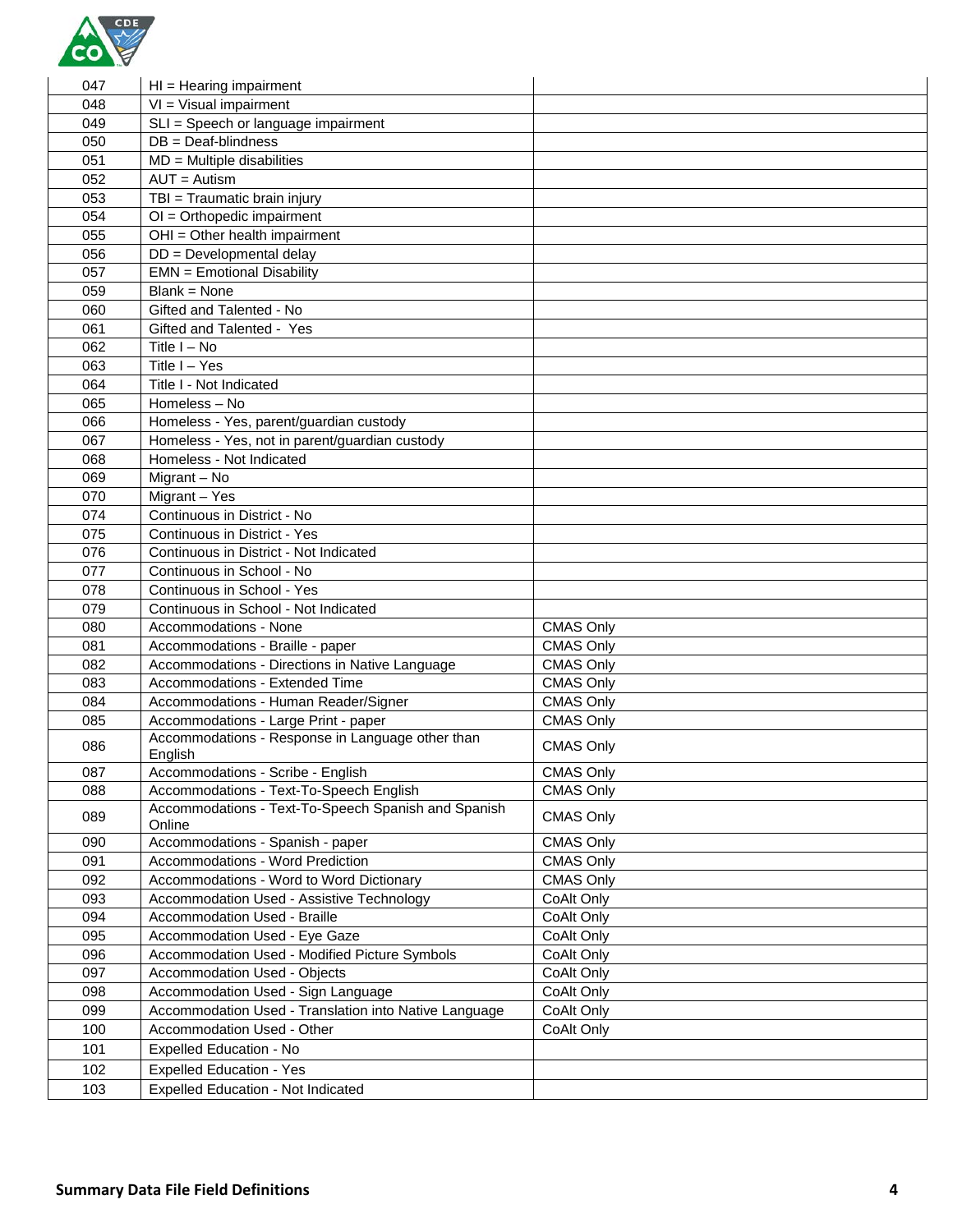

| 047 | $HI = Hearing impairment$                                     |                  |
|-----|---------------------------------------------------------------|------------------|
| 048 | $VI = Visual impairment$                                      |                  |
| 049 | SLI = Speech or language impairment                           |                  |
| 050 | $DB = Deaf-blindness$                                         |                  |
| 051 | $MD = Multiple$ disabilities                                  |                  |
| 052 | $AUT =$ Autism                                                |                  |
| 053 | TBI = Traumatic brain injury                                  |                  |
| 054 | $OI = Orthopedic impairment$                                  |                  |
| 055 | $\overline{OHI}$ = Other health impairment                    |                  |
| 056 | DD = Developmental delay                                      |                  |
| 057 | <b>EMN = Emotional Disability</b>                             |                  |
| 059 | $Blank = None$                                                |                  |
| 060 | Gifted and Talented - No                                      |                  |
| 061 | Gifted and Talented - Yes                                     |                  |
| 062 | Title I - No                                                  |                  |
| 063 | Title I - Yes                                                 |                  |
| 064 | Title I - Not Indicated                                       |                  |
| 065 | Homeless - No                                                 |                  |
| 066 | Homeless - Yes, parent/guardian custody                       |                  |
| 067 | Homeless - Yes, not in parent/guardian custody                |                  |
| 068 | Homeless - Not Indicated                                      |                  |
| 069 | Migrant - No                                                  |                  |
| 070 | Migrant - Yes                                                 |                  |
| 074 | Continuous in District - No                                   |                  |
| 075 | Continuous in District - Yes                                  |                  |
| 076 | Continuous in District - Not Indicated                        |                  |
| 077 | Continuous in School - No                                     |                  |
| 078 | Continuous in School - Yes                                    |                  |
| 079 | Continuous in School - Not Indicated                          |                  |
| 080 | Accommodations - None                                         | <b>CMAS Only</b> |
| 081 | Accommodations - Braille - paper                              | <b>CMAS Only</b> |
| 082 | Accommodations - Directions in Native Language                | <b>CMAS Only</b> |
| 083 | Accommodations - Extended Time                                | <b>CMAS Only</b> |
| 084 | Accommodations - Human Reader/Signer                          | <b>CMAS Only</b> |
| 085 | Accommodations - Large Print - paper                          | <b>CMAS Only</b> |
|     | Accommodations - Response in Language other than              |                  |
| 086 | English                                                       | <b>CMAS Only</b> |
| 087 | Accommodations - Scribe - English                             | <b>CMAS Only</b> |
| 088 | Accommodations - Text-To-Speech English                       | <b>CMAS Only</b> |
| 089 | Accommodations - Text-To-Speech Spanish and Spanish<br>Online | CMAS Only        |
| 090 | Accommodations - Spanish - paper                              | <b>CMAS Only</b> |
| 091 | Accommodations - Word Prediction                              | CMAS Only        |
| 092 | Accommodations - Word to Word Dictionary                      | <b>CMAS Only</b> |
| 093 | Accommodation Used - Assistive Technology                     | CoAlt Only       |
| 094 | Accommodation Used - Braille                                  | CoAlt Only       |
| 095 | Accommodation Used - Eye Gaze                                 | CoAlt Only       |
| 096 | Accommodation Used - Modified Picture Symbols                 | CoAlt Only       |
| 097 | <b>Accommodation Used - Objects</b>                           | CoAlt Only       |
| 098 | Accommodation Used - Sign Language                            | CoAlt Only       |
| 099 | Accommodation Used - Translation into Native Language         | CoAlt Only       |
| 100 | Accommodation Used - Other                                    | CoAlt Only       |
| 101 | Expelled Education - No                                       |                  |
| 102 | <b>Expelled Education - Yes</b>                               |                  |
| 103 | <b>Expelled Education - Not Indicated</b>                     |                  |
|     |                                                               |                  |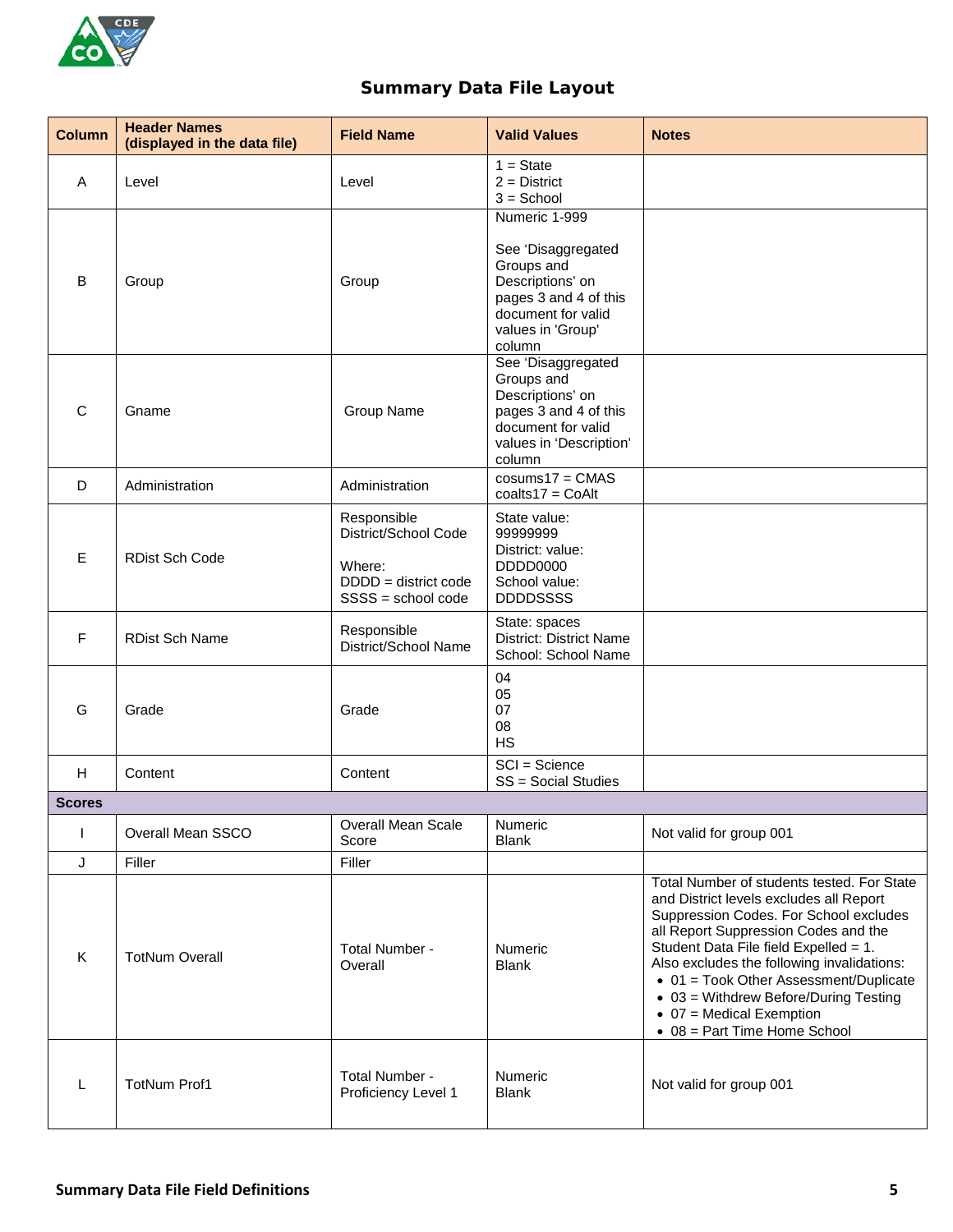

## **Summary Data File Layout**

| <b>Column</b> | <b>Header Names</b><br>(displayed in the data file) | <b>Field Name</b>                                                                             | <b>Valid Values</b>                                                                                                                                 | <b>Notes</b>                                                                                                                                                                                                                                                                                                                                                                                                                  |
|---------------|-----------------------------------------------------|-----------------------------------------------------------------------------------------------|-----------------------------------------------------------------------------------------------------------------------------------------------------|-------------------------------------------------------------------------------------------------------------------------------------------------------------------------------------------------------------------------------------------------------------------------------------------------------------------------------------------------------------------------------------------------------------------------------|
| Α             | Level                                               | Level                                                                                         | $1 = State$<br>$2 =$ District<br>$3 =$ School                                                                                                       |                                                                                                                                                                                                                                                                                                                                                                                                                               |
| B             | Group                                               | Group                                                                                         | Numeric 1-999<br>See 'Disaggregated<br>Groups and<br>Descriptions' on<br>pages 3 and 4 of this<br>document for valid<br>values in 'Group'<br>column |                                                                                                                                                                                                                                                                                                                                                                                                                               |
| C             | Gname                                               | Group Name                                                                                    | See 'Disaggregated<br>Groups and<br>Descriptions' on<br>pages 3 and 4 of this<br>document for valid<br>values in 'Description'<br>column            |                                                                                                                                                                                                                                                                                                                                                                                                                               |
| D             | Administration                                      | Administration                                                                                | $cosums17 = CMAS$<br>coalts $17 =$ CoAlt                                                                                                            |                                                                                                                                                                                                                                                                                                                                                                                                                               |
| Ε             | <b>RDist Sch Code</b>                               | Responsible<br>District/School Code<br>Where:<br>$DDDD =$ district code<br>SSSS = school code | State value:<br>99999999<br>District: value:<br><b>DDDD0000</b><br>School value:<br><b>DDDDSSSS</b>                                                 |                                                                                                                                                                                                                                                                                                                                                                                                                               |
| F.            | <b>RDist Sch Name</b>                               | Responsible<br>District/School Name                                                           | State: spaces<br><b>District: District Name</b><br>School: School Name                                                                              |                                                                                                                                                                                                                                                                                                                                                                                                                               |
| G             | Grade                                               | Grade                                                                                         | 04<br>05<br>07<br>08<br><b>HS</b>                                                                                                                   |                                                                                                                                                                                                                                                                                                                                                                                                                               |
| H             | Content                                             | Content                                                                                       | $SCI = Science$<br>SS = Social Studies                                                                                                              |                                                                                                                                                                                                                                                                                                                                                                                                                               |
| <b>Scores</b> |                                                     |                                                                                               |                                                                                                                                                     |                                                                                                                                                                                                                                                                                                                                                                                                                               |
| L             | Overall Mean SSCO                                   | Overall Mean Scale<br>Score                                                                   | Numeric<br><b>Blank</b>                                                                                                                             | Not valid for group 001                                                                                                                                                                                                                                                                                                                                                                                                       |
| J             | Filler                                              | Filler                                                                                        |                                                                                                                                                     |                                                                                                                                                                                                                                                                                                                                                                                                                               |
| K             | <b>TotNum Overall</b>                               | Total Number -<br>Overall                                                                     | <b>Numeric</b><br><b>Blank</b>                                                                                                                      | Total Number of students tested. For State<br>and District levels excludes all Report<br>Suppression Codes. For School excludes<br>all Report Suppression Codes and the<br>Student Data File field Expelled = 1.<br>Also excludes the following invalidations:<br>• 01 = Took Other Assessment/Duplicate<br>• 03 = Withdrew Before/During Testing<br>$\bullet$ 07 = Medical Exemption<br>$\bullet$ 08 = Part Time Home School |
| L             | <b>TotNum Prof1</b>                                 | Total Number -<br>Proficiency Level 1                                                         | Numeric<br><b>Blank</b>                                                                                                                             | Not valid for group 001                                                                                                                                                                                                                                                                                                                                                                                                       |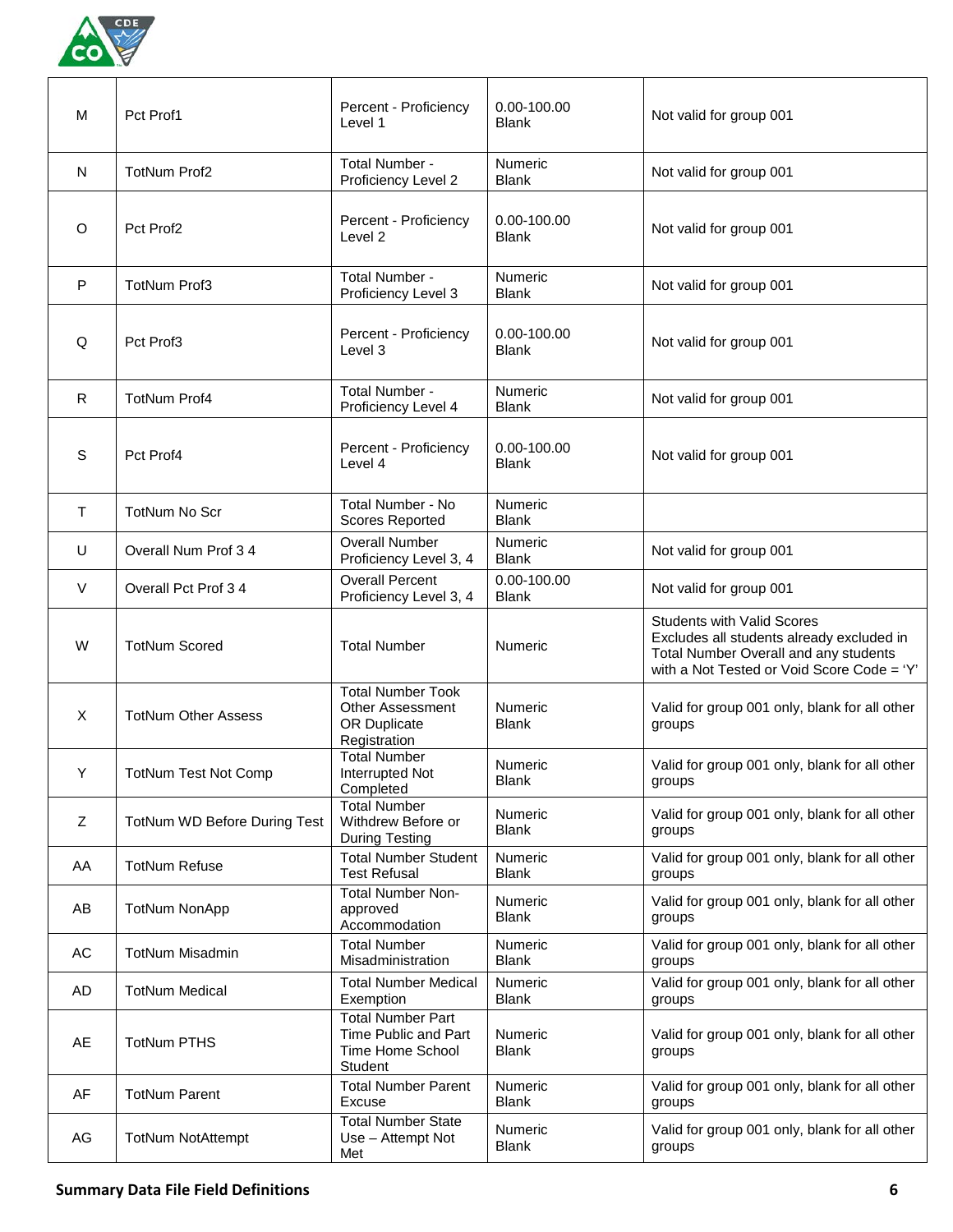

| м            | Pct Prof1                    | Percent - Proficiency<br>Level 1                                                    | 0.00-100.00<br><b>Blank</b>    | Not valid for group 001                                                                                                                                               |
|--------------|------------------------------|-------------------------------------------------------------------------------------|--------------------------------|-----------------------------------------------------------------------------------------------------------------------------------------------------------------------|
| N            | <b>TotNum Prof2</b>          | Total Number -<br>Proficiency Level 2                                               | Numeric<br><b>Blank</b>        | Not valid for group 001                                                                                                                                               |
| O            | Pct Prof2                    | Percent - Proficiency<br>Level <sub>2</sub>                                         | 0.00-100.00<br><b>Blank</b>    | Not valid for group 001                                                                                                                                               |
| P            | <b>TotNum Prof3</b>          | Total Number -<br>Proficiency Level 3                                               | Numeric<br><b>Blank</b>        | Not valid for group 001                                                                                                                                               |
| Q            | Pct Prof3                    | Percent - Proficiency<br>Level 3                                                    | 0.00-100.00<br><b>Blank</b>    | Not valid for group 001                                                                                                                                               |
| R            | <b>TotNum Prof4</b>          | Total Number -<br>Proficiency Level 4                                               | Numeric<br><b>Blank</b>        | Not valid for group 001                                                                                                                                               |
| S            | Pct Prof4                    | Percent - Proficiency<br>Level 4                                                    | 0.00-100.00<br><b>Blank</b>    | Not valid for group 001                                                                                                                                               |
| т            | <b>TotNum No Scr</b>         | Total Number - No<br><b>Scores Reported</b>                                         | Numeric<br><b>Blank</b>        |                                                                                                                                                                       |
| U            | Overall Num Prof 3 4         | <b>Overall Number</b><br>Proficiency Level 3, 4                                     | Numeric<br><b>Blank</b>        | Not valid for group 001                                                                                                                                               |
| V            | Overall Pct Prof 34          | <b>Overall Percent</b><br>Proficiency Level 3, 4                                    | 0.00-100.00<br><b>Blank</b>    | Not valid for group 001                                                                                                                                               |
| W            | <b>TotNum Scored</b>         | <b>Total Number</b>                                                                 | Numeric                        | <b>Students with Valid Scores</b><br>Excludes all students already excluded in<br>Total Number Overall and any students<br>with a Not Tested or Void Score Code = 'Y' |
| $\mathsf{X}$ | <b>TotNum Other Assess</b>   | <b>Total Number Took</b><br>Other Assessment<br><b>OR Duplicate</b><br>Registration | <b>Numeric</b><br><b>Blank</b> | Valid for group 001 only, blank for all other<br>groups                                                                                                               |
| Y            | <b>TotNum Test Not Comp</b>  | <b>Total Number</b><br>Interrupted Not<br>Completed                                 | Numeric<br><b>Blank</b>        | Valid for group 001 only, blank for all other<br>groups                                                                                                               |
| Z            | TotNum WD Before During Test | <b>Total Number</b><br>Withdrew Before or<br><b>During Testing</b>                  | Numeric<br><b>Blank</b>        | Valid for group 001 only, blank for all other<br>groups                                                                                                               |
| AA           | <b>TotNum Refuse</b>         | <b>Total Number Student</b><br><b>Test Refusal</b>                                  | Numeric<br><b>Blank</b>        | Valid for group 001 only, blank for all other<br>groups                                                                                                               |
| AB           | <b>TotNum NonApp</b>         | <b>Total Number Non-</b><br>approved<br>Accommodation                               | Numeric<br><b>Blank</b>        | Valid for group 001 only, blank for all other<br>groups                                                                                                               |
| AC           | <b>TotNum Misadmin</b>       | <b>Total Number</b><br>Misadministration                                            | Numeric<br><b>Blank</b>        | Valid for group 001 only, blank for all other<br>groups                                                                                                               |
| AD           | <b>TotNum Medical</b>        | <b>Total Number Medical</b><br>Exemption                                            | Numeric<br><b>Blank</b>        | Valid for group 001 only, blank for all other<br>groups                                                                                                               |
| AE           | <b>TotNum PTHS</b>           | <b>Total Number Part</b><br>Time Public and Part<br>Time Home School<br>Student     | Numeric<br><b>Blank</b>        | Valid for group 001 only, blank for all other<br>groups                                                                                                               |
| AF           | <b>TotNum Parent</b>         | <b>Total Number Parent</b><br>Excuse                                                | Numeric<br><b>Blank</b>        | Valid for group 001 only, blank for all other<br>groups                                                                                                               |
| AG           | <b>TotNum NotAttempt</b>     | <b>Total Number State</b><br>Use - Attempt Not<br>Met                               | Numeric<br><b>Blank</b>        | Valid for group 001 only, blank for all other<br>groups                                                                                                               |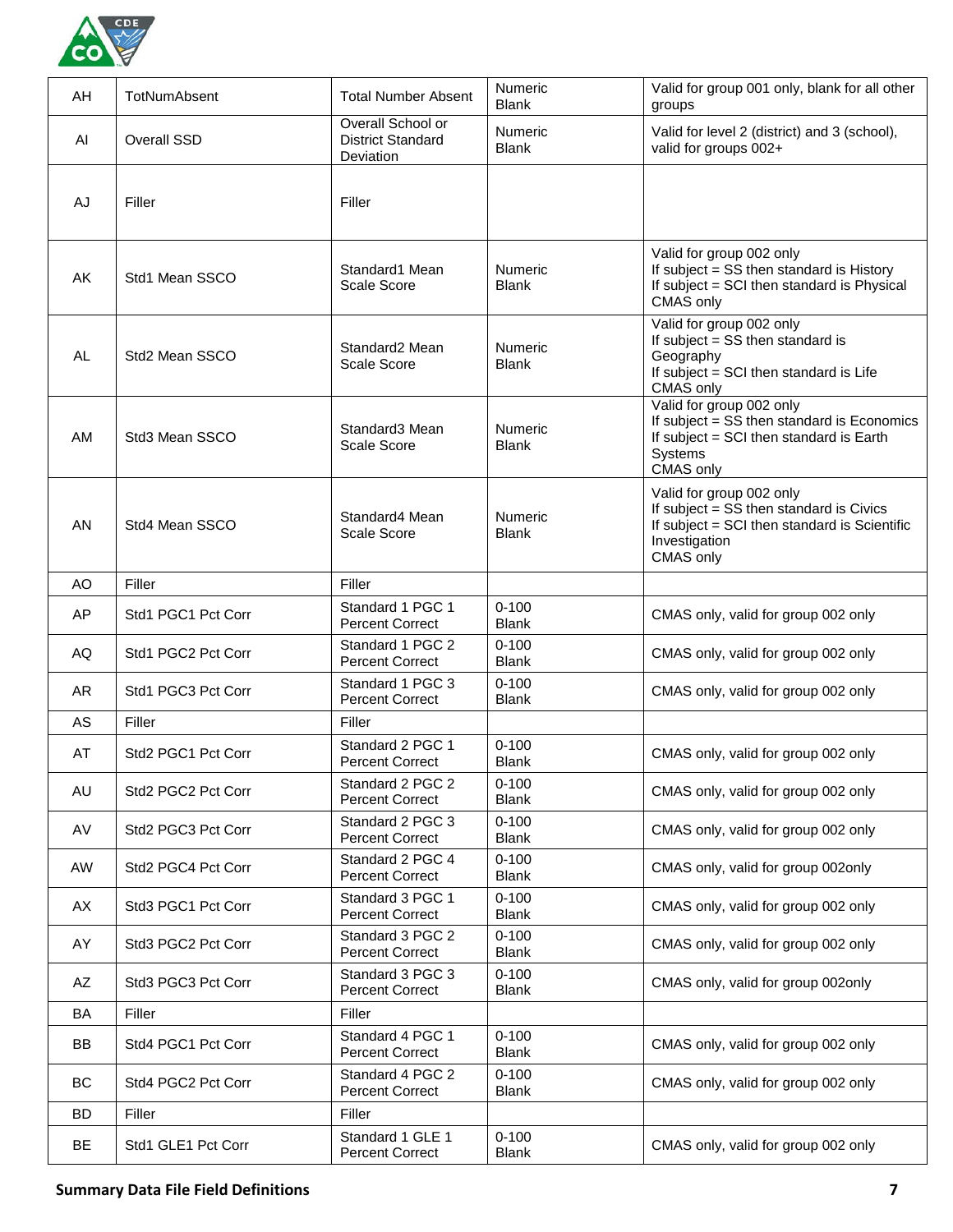

| AH        | TotNumAbsent       | <b>Total Number Absent</b>                                 | Numeric<br><b>Blank</b>        | Valid for group 001 only, blank for all other<br>groups                                                                                           |
|-----------|--------------------|------------------------------------------------------------|--------------------------------|---------------------------------------------------------------------------------------------------------------------------------------------------|
| AI        | Overall SSD        | Overall School or<br><b>District Standard</b><br>Deviation | Numeric<br><b>Blank</b>        | Valid for level 2 (district) and 3 (school),<br>valid for groups 002+                                                                             |
| AJ        | Filler             | Filler                                                     |                                |                                                                                                                                                   |
| AK        | Std1 Mean SSCO     | Standard1 Mean<br>Scale Score                              | Numeric<br><b>Blank</b>        | Valid for group 002 only<br>If subject = SS then standard is History<br>If subject = SCI then standard is Physical<br>CMAS only                   |
| AL        | Std2 Mean SSCO     | Standard2 Mean<br>Scale Score                              | Numeric<br><b>Blank</b>        | Valid for group 002 only<br>If subject = SS then standard is<br>Geography<br>If subject = SCI then standard is Life<br>CMAS only                  |
| <b>AM</b> | Std3 Mean SSCO     | Standard3 Mean<br>Scale Score                              | <b>Numeric</b><br><b>Blank</b> | Valid for group 002 only<br>If subject = SS then standard is Economics<br>If subject = SCI then standard is Earth<br>Systems<br>CMAS only         |
| AN        | Std4 Mean SSCO     | Standard4 Mean<br>Scale Score                              | Numeric<br><b>Blank</b>        | Valid for group 002 only<br>If subject = SS then standard is Civics<br>If subject = SCI then standard is Scientific<br>Investigation<br>CMAS only |
| AO        | Filler             | Filler                                                     |                                |                                                                                                                                                   |
| AP        | Std1 PGC1 Pct Corr | Standard 1 PGC 1<br><b>Percent Correct</b>                 | $0 - 100$<br><b>Blank</b>      | CMAS only, valid for group 002 only                                                                                                               |
| AQ        | Std1 PGC2 Pct Corr | Standard 1 PGC 2<br><b>Percent Correct</b>                 | $0 - 100$<br><b>Blank</b>      | CMAS only, valid for group 002 only                                                                                                               |
| AR        | Std1 PGC3 Pct Corr | Standard 1 PGC 3<br><b>Percent Correct</b>                 | $0 - 100$<br><b>Blank</b>      | CMAS only, valid for group 002 only                                                                                                               |
| AS        | Filler             | Filler                                                     |                                |                                                                                                                                                   |
| AT        | Std2 PGC1 Pct Corr | Standard 2 PGC 1<br><b>Percent Correct</b>                 | $0 - 100$<br><b>Blank</b>      | CMAS only, valid for group 002 only                                                                                                               |
| AU        | Std2 PGC2 Pct Corr | Standard 2 PGC 2<br><b>Percent Correct</b>                 | $0 - 100$<br><b>Blank</b>      | CMAS only, valid for group 002 only                                                                                                               |
| AV        | Std2 PGC3 Pct Corr | Standard 2 PGC 3<br><b>Percent Correct</b>                 | $0 - 100$<br><b>Blank</b>      | CMAS only, valid for group 002 only                                                                                                               |
| AW        | Std2 PGC4 Pct Corr | Standard 2 PGC 4<br><b>Percent Correct</b>                 | $0 - 100$<br><b>Blank</b>      | CMAS only, valid for group 002only                                                                                                                |
| AX        | Std3 PGC1 Pct Corr | Standard 3 PGC 1<br><b>Percent Correct</b>                 | $0 - 100$<br><b>Blank</b>      | CMAS only, valid for group 002 only                                                                                                               |
| AY        | Std3 PGC2 Pct Corr | Standard 3 PGC 2<br><b>Percent Correct</b>                 | $0 - 100$<br><b>Blank</b>      | CMAS only, valid for group 002 only                                                                                                               |
| AZ        | Std3 PGC3 Pct Corr | Standard 3 PGC 3<br><b>Percent Correct</b>                 | $0 - 100$<br><b>Blank</b>      | CMAS only, valid for group 002only                                                                                                                |
| BA        | Filler             | Filler                                                     |                                |                                                                                                                                                   |
| BB        | Std4 PGC1 Pct Corr | Standard 4 PGC 1<br><b>Percent Correct</b>                 | $0 - 100$<br><b>Blank</b>      | CMAS only, valid for group 002 only                                                                                                               |
| BC        | Std4 PGC2 Pct Corr | Standard 4 PGC 2<br><b>Percent Correct</b>                 | $0 - 100$<br><b>Blank</b>      | CMAS only, valid for group 002 only                                                                                                               |
| <b>BD</b> | Filler             | Filler                                                     |                                |                                                                                                                                                   |
| BE        | Std1 GLE1 Pct Corr | Standard 1 GLE 1<br><b>Percent Correct</b>                 | $0 - 100$<br><b>Blank</b>      | CMAS only, valid for group 002 only                                                                                                               |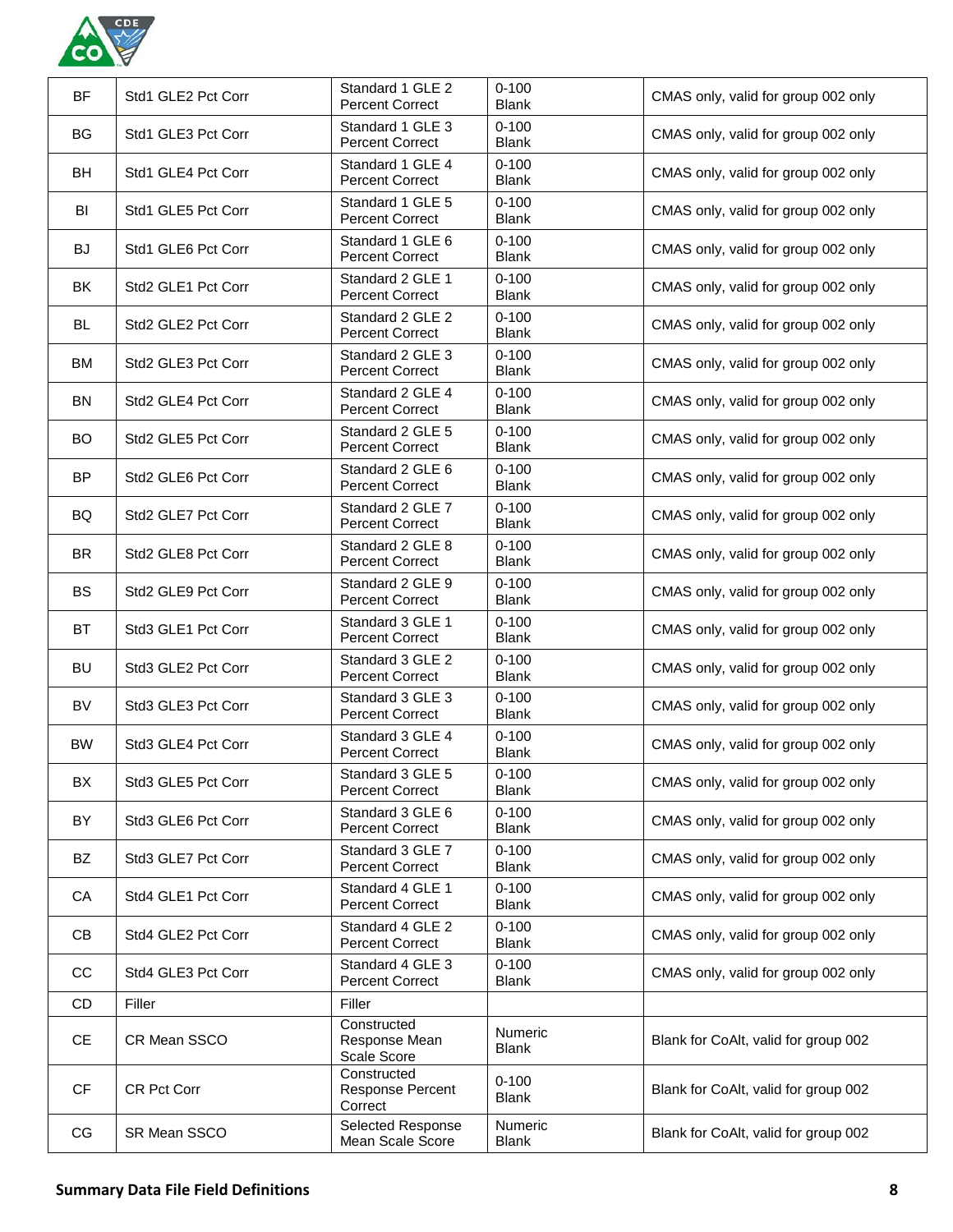

| BF        | Std1 GLE2 Pct Corr | Standard 1 GLE 2<br><b>Percent Correct</b>  | $0 - 100$<br><b>Blank</b>      | CMAS only, valid for group 002 only  |
|-----------|--------------------|---------------------------------------------|--------------------------------|--------------------------------------|
| <b>BG</b> | Std1 GLE3 Pct Corr | Standard 1 GLE 3<br><b>Percent Correct</b>  | $0 - 100$<br><b>Blank</b>      | CMAS only, valid for group 002 only  |
| <b>BH</b> | Std1 GLE4 Pct Corr | Standard 1 GLE 4<br><b>Percent Correct</b>  | $0 - 100$<br><b>Blank</b>      | CMAS only, valid for group 002 only  |
| BI        | Std1 GLE5 Pct Corr | Standard 1 GLE 5<br><b>Percent Correct</b>  | $0 - 100$<br><b>Blank</b>      | CMAS only, valid for group 002 only  |
| <b>BJ</b> | Std1 GLE6 Pct Corr | Standard 1 GLE 6<br><b>Percent Correct</b>  | $0 - 100$<br><b>Blank</b>      | CMAS only, valid for group 002 only  |
| BK        | Std2 GLE1 Pct Corr | Standard 2 GLE 1<br><b>Percent Correct</b>  | $0 - 100$<br><b>Blank</b>      | CMAS only, valid for group 002 only  |
| BL        | Std2 GLE2 Pct Corr | Standard 2 GLE 2<br><b>Percent Correct</b>  | $0 - 100$<br><b>Blank</b>      | CMAS only, valid for group 002 only  |
| ВM        | Std2 GLE3 Pct Corr | Standard 2 GLE 3<br><b>Percent Correct</b>  | $0 - 100$<br><b>Blank</b>      | CMAS only, valid for group 002 only  |
| <b>BN</b> | Std2 GLE4 Pct Corr | Standard 2 GLE 4<br><b>Percent Correct</b>  | $0 - 100$<br><b>Blank</b>      | CMAS only, valid for group 002 only  |
| <b>BO</b> | Std2 GLE5 Pct Corr | Standard 2 GLE 5<br><b>Percent Correct</b>  | $0 - 100$<br><b>Blank</b>      | CMAS only, valid for group 002 only  |
| <b>BP</b> | Std2 GLE6 Pct Corr | Standard 2 GLE 6<br><b>Percent Correct</b>  | $0 - 100$<br><b>Blank</b>      | CMAS only, valid for group 002 only  |
| <b>BQ</b> | Std2 GLE7 Pct Corr | Standard 2 GLE 7<br><b>Percent Correct</b>  | $0 - 100$<br><b>Blank</b>      | CMAS only, valid for group 002 only  |
| BR.       | Std2 GLE8 Pct Corr | Standard 2 GLE 8<br><b>Percent Correct</b>  | $0 - 100$<br><b>Blank</b>      | CMAS only, valid for group 002 only  |
| <b>BS</b> | Std2 GLE9 Pct Corr | Standard 2 GLE 9<br><b>Percent Correct</b>  | $0 - 100$<br><b>Blank</b>      | CMAS only, valid for group 002 only  |
| <b>BT</b> | Std3 GLE1 Pct Corr | Standard 3 GLE 1<br><b>Percent Correct</b>  | $0 - 100$<br><b>Blank</b>      | CMAS only, valid for group 002 only  |
| <b>BU</b> | Std3 GLE2 Pct Corr | Standard 3 GLE 2<br><b>Percent Correct</b>  | $0 - 100$<br><b>Blank</b>      | CMAS only, valid for group 002 only  |
| BV        | Std3 GLE3 Pct Corr | Standard 3 GLE 3<br><b>Percent Correct</b>  | $0 - 100$<br><b>Blank</b>      | CMAS only, valid for group 002 only  |
| <b>BW</b> | Std3 GLE4 Pct Corr | Standard 3 GLE 4<br><b>Percent Correct</b>  | $0 - 100$<br><b>Blank</b>      | CMAS only, valid for group 002 only  |
| BX        | Std3 GLE5 Pct Corr | Standard 3 GLE 5<br><b>Percent Correct</b>  | $0 - 100$<br><b>Blank</b>      | CMAS only, valid for group 002 only  |
| BY        | Std3 GLE6 Pct Corr | Standard 3 GLE 6<br><b>Percent Correct</b>  | $0 - 100$<br><b>Blank</b>      | CMAS only, valid for group 002 only  |
| BZ        | Std3 GLE7 Pct Corr | Standard 3 GLE 7<br><b>Percent Correct</b>  | $0 - 100$<br><b>Blank</b>      | CMAS only, valid for group 002 only  |
| CA        | Std4 GLE1 Pct Corr | Standard 4 GLE 1<br><b>Percent Correct</b>  | $0 - 100$<br><b>Blank</b>      | CMAS only, valid for group 002 only  |
| CВ        | Std4 GLE2 Pct Corr | Standard 4 GLE 2<br><b>Percent Correct</b>  | $0 - 100$<br><b>Blank</b>      | CMAS only, valid for group 002 only  |
| CC        | Std4 GLE3 Pct Corr | Standard 4 GLE 3<br><b>Percent Correct</b>  | $0 - 100$<br>Blank             | CMAS only, valid for group 002 only  |
| CD        | Filler             | Filler                                      |                                |                                      |
| <b>CE</b> | CR Mean SSCO       | Constructed<br>Response Mean<br>Scale Score | Numeric<br><b>Blank</b>        | Blank for CoAlt, valid for group 002 |
| <b>CF</b> | <b>CR Pct Corr</b> | Constructed<br>Response Percent<br>Correct  | $0 - 100$<br><b>Blank</b>      | Blank for CoAlt, valid for group 002 |
| CG        | SR Mean SSCO       | Selected Response<br>Mean Scale Score       | <b>Numeric</b><br><b>Blank</b> | Blank for CoAlt, valid for group 002 |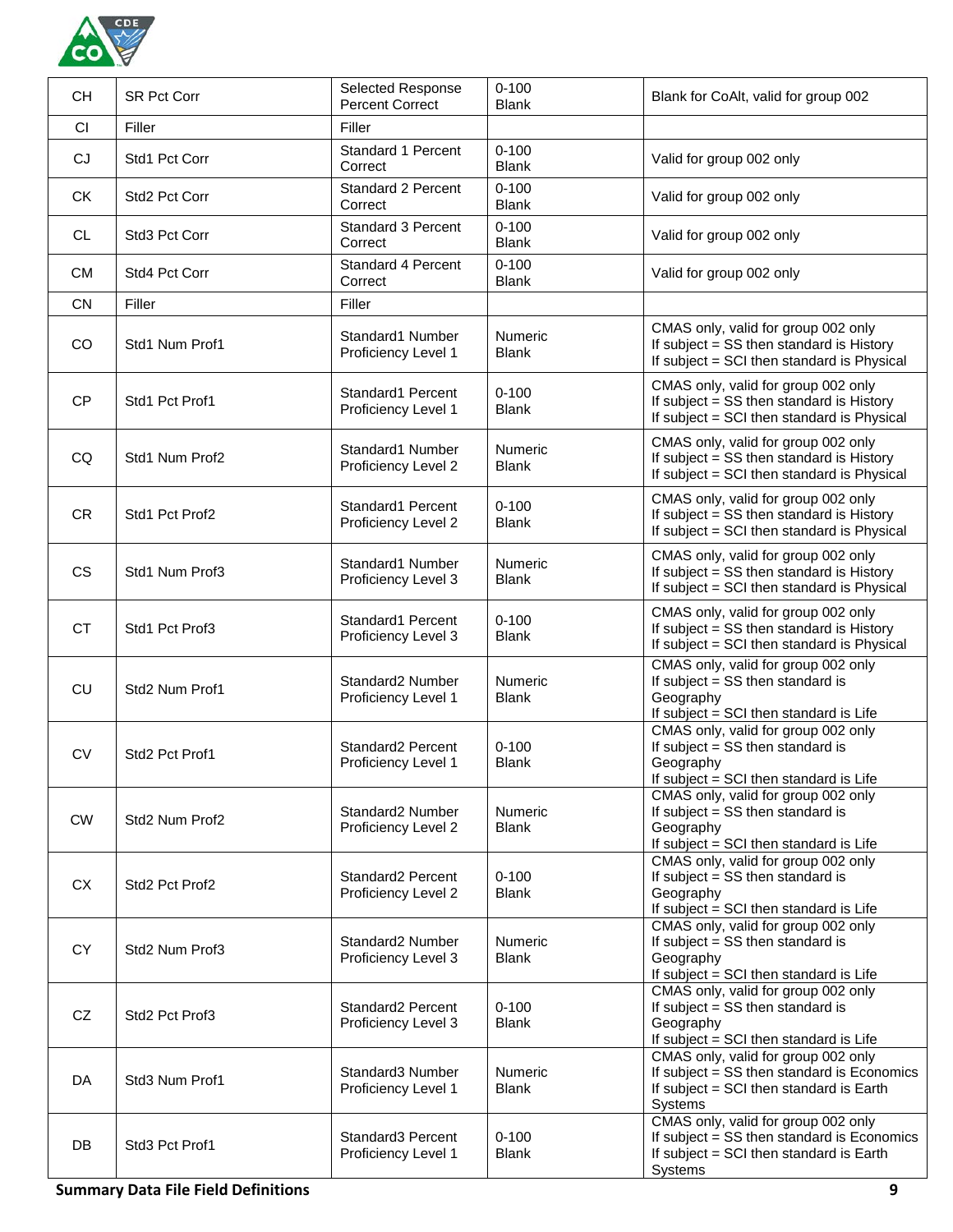

| <b>CH</b> | <b>SR Pct Corr</b> | Selected Response<br><b>Percent Correct</b> | $0 - 100$<br><b>Blank</b>      | Blank for CoAlt, valid for group 002                                                                                                    |
|-----------|--------------------|---------------------------------------------|--------------------------------|-----------------------------------------------------------------------------------------------------------------------------------------|
| <b>CI</b> | Filler             | Filler                                      |                                |                                                                                                                                         |
| CJ        | Std1 Pct Corr      | Standard 1 Percent<br>Correct               | $0 - 100$<br><b>Blank</b>      | Valid for group 002 only                                                                                                                |
| <b>CK</b> | Std2 Pct Corr      | <b>Standard 2 Percent</b><br>Correct        | $0 - 100$<br><b>Blank</b>      | Valid for group 002 only                                                                                                                |
| CL        | Std3 Pct Corr      | <b>Standard 3 Percent</b><br>Correct        | $0 - 100$<br><b>Blank</b>      | Valid for group 002 only                                                                                                                |
| <b>CM</b> | Std4 Pct Corr      | Standard 4 Percent<br>Correct               | $0 - 100$<br><b>Blank</b>      | Valid for group 002 only                                                                                                                |
| <b>CN</b> | Filler             | Filler                                      |                                |                                                                                                                                         |
| CO        | Std1 Num Prof1     | Standard1 Number<br>Proficiency Level 1     | Numeric<br><b>Blank</b>        | CMAS only, valid for group 002 only<br>If subject = SS then standard is History<br>If subject = SCI then standard is Physical           |
| <b>CP</b> | Std1 Pct Prof1     | Standard1 Percent<br>Proficiency Level 1    | $0 - 100$<br><b>Blank</b>      | CMAS only, valid for group 002 only<br>If subject = SS then standard is History<br>If subject = SCI then standard is Physical           |
| CQ        | Std1 Num Prof2     | Standard1 Number<br>Proficiency Level 2     | Numeric<br><b>Blank</b>        | CMAS only, valid for group 002 only<br>If subject = SS then standard is History<br>If subject = SCI then standard is Physical           |
| <b>CR</b> | Std1 Pct Prof2     | Standard1 Percent<br>Proficiency Level 2    | $0 - 100$<br>Blank             | CMAS only, valid for group 002 only<br>If subject = SS then standard is History<br>If subject = SCI then standard is Physical           |
| <b>CS</b> | Std1 Num Prof3     | Standard1 Number<br>Proficiency Level 3     | Numeric<br><b>Blank</b>        | CMAS only, valid for group 002 only<br>If subject = SS then standard is History<br>If subject = SCI then standard is Physical           |
| <b>CT</b> | Std1 Pct Prof3     | Standard1 Percent<br>Proficiency Level 3    | $0 - 100$<br><b>Blank</b>      | CMAS only, valid for group 002 only<br>If subject = SS then standard is History<br>If subject = SCI then standard is Physical           |
| CU        | Std2 Num Prof1     | Standard2 Number<br>Proficiency Level 1     | Numeric<br><b>Blank</b>        | CMAS only, valid for group 002 only<br>If subject $=$ SS then standard is<br>Geography<br>If subject = SCI then standard is Life        |
| <b>CV</b> | Std2 Pct Prof1     | Standard2 Percent<br>Proficiency Level 1    | $0 - 100$<br><b>Blank</b>      | CMAS only, valid for group 002 only<br>If subject = SS then standard is<br>Geography<br>If subject = SCI then standard is Life          |
| <b>CW</b> | Std2 Num Prof2     | Standard2 Number<br>Proficiency Level 2     | Numeric<br><b>Blank</b>        | CMAS only, valid for group 002 only<br>If subject = SS then standard is<br>Geography<br>If subject = SCI then standard is Life          |
| <b>CX</b> | Std2 Pct Prof2     | Standard2 Percent<br>Proficiency Level 2    | $0 - 100$<br><b>Blank</b>      | CMAS only, valid for group 002 only<br>If subject = SS then standard is<br>Geography<br>If subject = SCI then standard is Life          |
| <b>CY</b> | Std2 Num Prof3     | Standard2 Number<br>Proficiency Level 3     | <b>Numeric</b><br><b>Blank</b> | CMAS only, valid for group 002 only<br>If subject = SS then standard is<br>Geography<br>If subject = SCI then standard is Life          |
| CZ        | Std2 Pct Prof3     | Standard2 Percent<br>Proficiency Level 3    | $0 - 100$<br><b>Blank</b>      | CMAS only, valid for group 002 only<br>If subject = SS then standard is<br>Geography<br>If subject = SCI then standard is Life          |
| DA        | Std3 Num Prof1     | Standard3 Number<br>Proficiency Level 1     | Numeric<br><b>Blank</b>        | CMAS only, valid for group 002 only<br>If subject = SS then standard is Economics<br>If subject = SCI then standard is Earth<br>Systems |
| DB        | Std3 Pct Prof1     | Standard3 Percent<br>Proficiency Level 1    | $0 - 100$<br><b>Blank</b>      | CMAS only, valid for group 002 only<br>If subject = SS then standard is Economics<br>If subject = SCI then standard is Earth<br>Systems |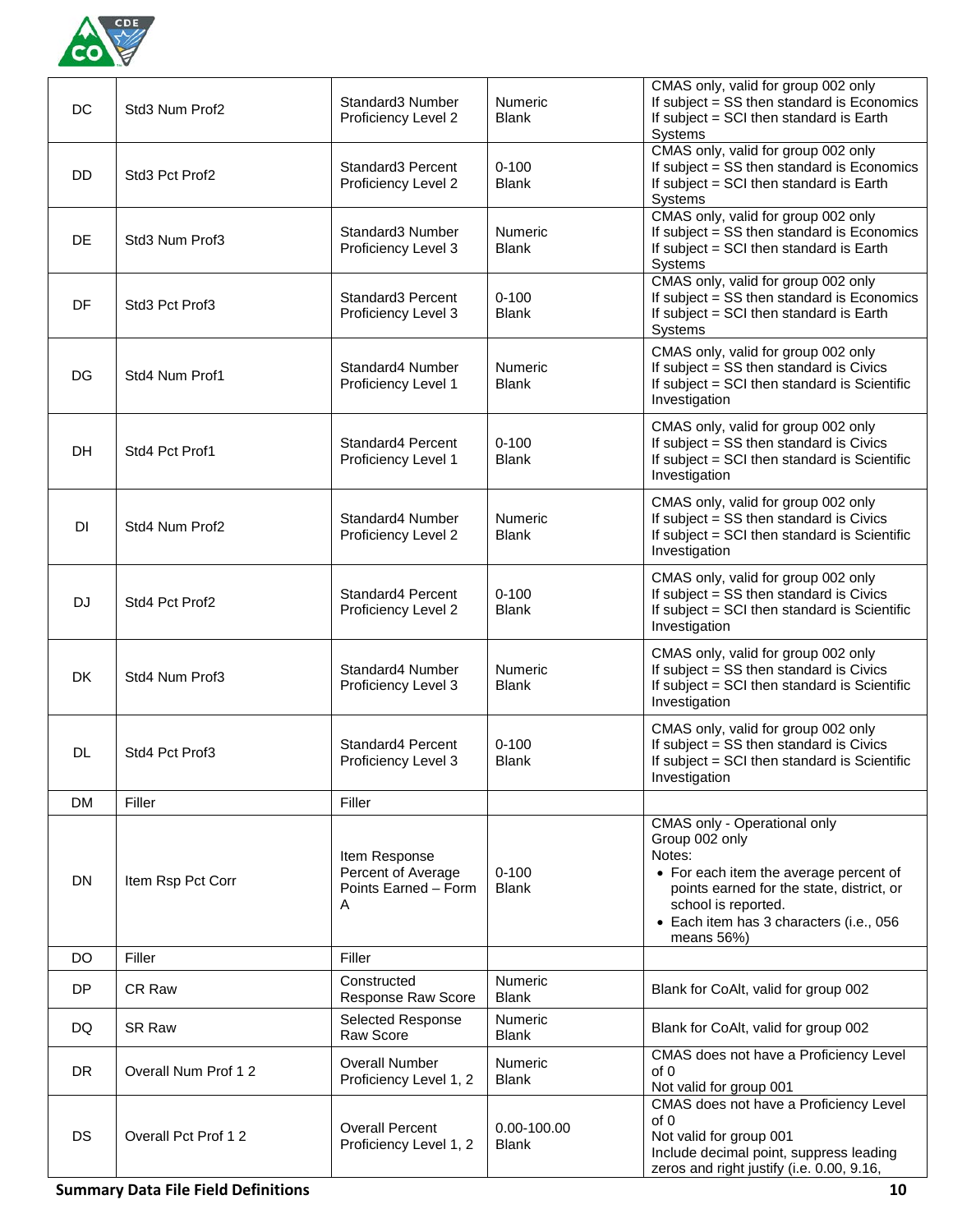

| DC        | Std3 Num Prof2      | Standard3 Number<br>Proficiency Level 2                          | <b>Numeric</b><br><b>Blank</b> | CMAS only, valid for group 002 only<br>If subject = SS then standard is Economics<br>If subject = SCI then standard is Earth<br>Systems                                                                                         |
|-----------|---------------------|------------------------------------------------------------------|--------------------------------|---------------------------------------------------------------------------------------------------------------------------------------------------------------------------------------------------------------------------------|
| <b>DD</b> | Std3 Pct Prof2      | Standard3 Percent<br>Proficiency Level 2                         | $0 - 100$<br><b>Blank</b>      | CMAS only, valid for group 002 only<br>If subject = SS then standard is Economics<br>If subject = SCI then standard is Earth<br>Systems                                                                                         |
| <b>DE</b> | Std3 Num Prof3      | Standard3 Number<br>Proficiency Level 3                          | <b>Numeric</b><br><b>Blank</b> | CMAS only, valid for group 002 only<br>If subject = SS then standard is Economics<br>If subject = SCI then standard is Earth<br>Systems                                                                                         |
| DF        | Std3 Pct Prof3      | Standard3 Percent<br>Proficiency Level 3                         | $0 - 100$<br><b>Blank</b>      | CMAS only, valid for group 002 only<br>If subject = SS then standard is Economics<br>If subject = SCI then standard is Earth<br>Systems                                                                                         |
| DG        | Std4 Num Prof1      | Standard4 Number<br>Proficiency Level 1                          | <b>Numeric</b><br><b>Blank</b> | CMAS only, valid for group 002 only<br>If subject = SS then standard is Civics<br>If subject = SCI then standard is Scientific<br>Investigation                                                                                 |
| <b>DH</b> | Std4 Pct Prof1      | Standard4 Percent<br>Proficiency Level 1                         | $0 - 100$<br><b>Blank</b>      | CMAS only, valid for group 002 only<br>If subject = SS then standard is Civics<br>If subject = SCI then standard is Scientific<br>Investigation                                                                                 |
| <b>DI</b> | Std4 Num Prof2      | Standard4 Number<br>Proficiency Level 2                          | Numeric<br><b>Blank</b>        | CMAS only, valid for group 002 only<br>If subject = SS then standard is Civics<br>If subject = SCI then standard is Scientific<br>Investigation                                                                                 |
| <b>DJ</b> | Std4 Pct Prof2      | Standard4 Percent<br>Proficiency Level 2                         | $0 - 100$<br><b>Blank</b>      | CMAS only, valid for group 002 only<br>If subject = SS then standard is Civics<br>If subject = SCI then standard is Scientific<br>Investigation                                                                                 |
| <b>DK</b> | Std4 Num Prof3      | Standard4 Number<br>Proficiency Level 3                          | Numeric<br><b>Blank</b>        | CMAS only, valid for group 002 only<br>If subject = SS then standard is Civics<br>If subject = SCI then standard is Scientific<br>Investigation                                                                                 |
| DL.       | Std4 Pct Prof3      | Standard4 Percent<br>Proficiency Level 3                         | $0 - 100$<br>Blank             | CMAS only, valid for group 002 only<br>If subject = SS then standard is Civics<br>If subject = SCI then standard is Scientific<br>Investigation                                                                                 |
| <b>DM</b> | Filler              | Filler                                                           |                                |                                                                                                                                                                                                                                 |
| <b>DN</b> | Item Rsp Pct Corr   | Item Response<br>Percent of Average<br>Points Earned - Form<br>A | $0 - 100$<br><b>Blank</b>      | CMAS only - Operational only<br>Group 002 only<br>Notes:<br>• For each item the average percent of<br>points earned for the state, district, or<br>school is reported.<br>• Each item has 3 characters (i.e., 056<br>means 56%) |
| DO        | Filler              | Filler                                                           |                                |                                                                                                                                                                                                                                 |
| <b>DP</b> | <b>CR Raw</b>       | Constructed<br>Response Raw Score                                | <b>Numeric</b><br><b>Blank</b> | Blank for CoAlt, valid for group 002                                                                                                                                                                                            |
| DQ.       | <b>SR Raw</b>       | Selected Response<br>Raw Score                                   | <b>Numeric</b><br><b>Blank</b> | Blank for CoAlt, valid for group 002                                                                                                                                                                                            |
| <b>DR</b> | Overall Num Prof 12 | <b>Overall Number</b><br>Proficiency Level 1, 2                  | Numeric<br><b>Blank</b>        | CMAS does not have a Proficiency Level<br>of 0<br>Not valid for group 001                                                                                                                                                       |
| <b>DS</b> | Overall Pct Prof 12 | <b>Overall Percent</b><br>Proficiency Level 1, 2                 | 0.00-100.00<br><b>Blank</b>    | CMAS does not have a Proficiency Level<br>of 0<br>Not valid for group 001<br>Include decimal point, suppress leading<br>zeros and right justify (i.e. 0.00, 9.16,                                                               |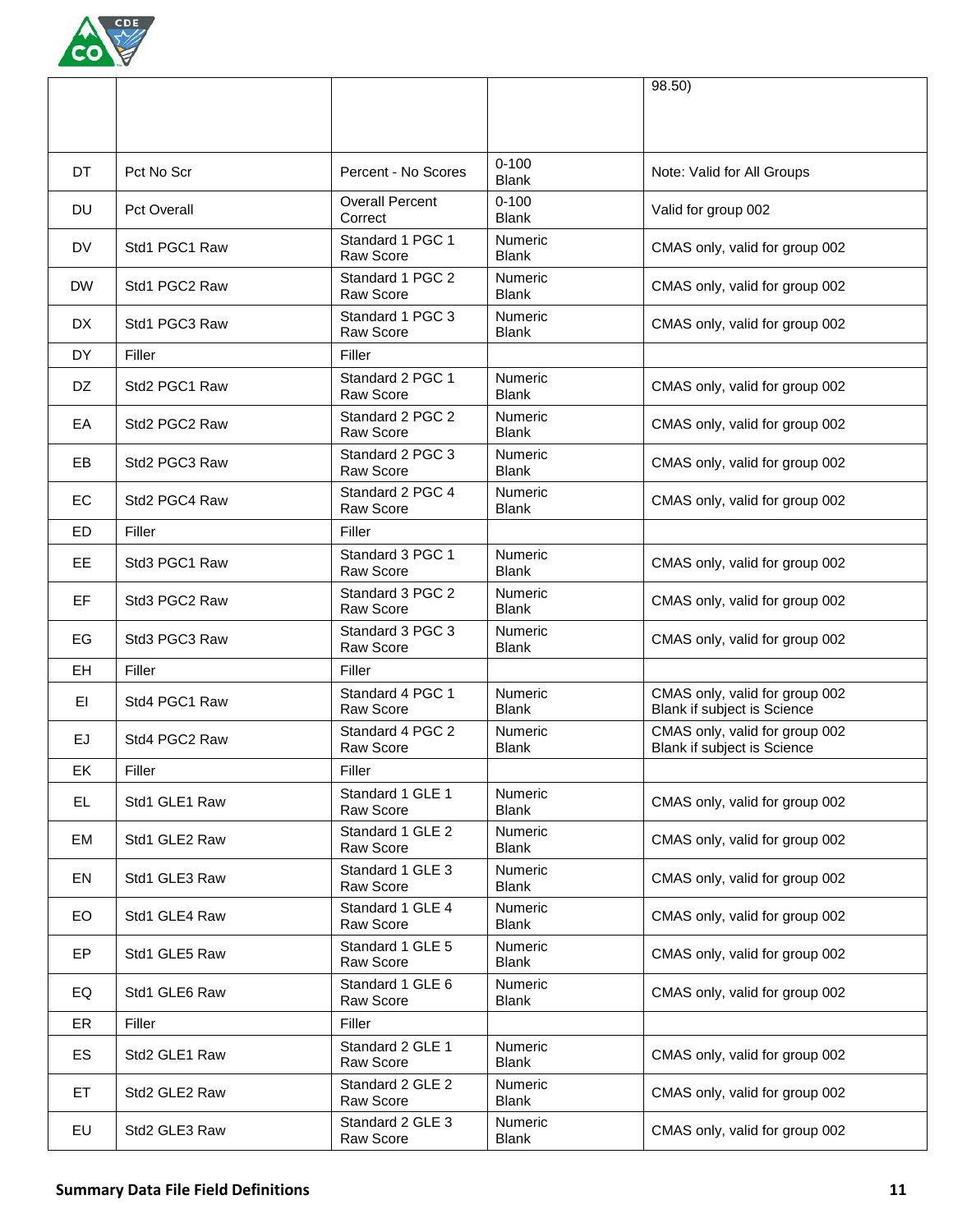

|           |                    |                                      |                                | 98.50)                                                        |
|-----------|--------------------|--------------------------------------|--------------------------------|---------------------------------------------------------------|
| DT        | Pct No Scr         | Percent - No Scores                  | $0 - 100$<br><b>Blank</b>      | Note: Valid for All Groups                                    |
| DU        | <b>Pct Overall</b> | <b>Overall Percent</b><br>Correct    | $0 - 100$<br><b>Blank</b>      | Valid for group 002                                           |
| DV        | Std1 PGC1 Raw      | Standard 1 PGC 1<br><b>Raw Score</b> | Numeric<br><b>Blank</b>        | CMAS only, valid for group 002                                |
| <b>DW</b> | Std1 PGC2 Raw      | Standard 1 PGC 2<br>Raw Score        | <b>Numeric</b><br><b>Blank</b> | CMAS only, valid for group 002                                |
| <b>DX</b> | Std1 PGC3 Raw      | Standard 1 PGC 3<br><b>Raw Score</b> | Numeric<br><b>Blank</b>        | CMAS only, valid for group 002                                |
| DY        | Filler             | Filler                               |                                |                                                               |
| DZ.       | Std2 PGC1 Raw      | Standard 2 PGC 1<br>Raw Score        | Numeric<br><b>Blank</b>        | CMAS only, valid for group 002                                |
| EA        | Std2 PGC2 Raw      | Standard 2 PGC 2<br>Raw Score        | Numeric<br><b>Blank</b>        | CMAS only, valid for group 002                                |
| EВ        | Std2 PGC3 Raw      | Standard 2 PGC 3<br>Raw Score        | <b>Numeric</b><br><b>Blank</b> | CMAS only, valid for group 002                                |
| EC        | Std2 PGC4 Raw      | Standard 2 PGC 4<br>Raw Score        | <b>Numeric</b><br><b>Blank</b> | CMAS only, valid for group 002                                |
| <b>ED</b> | Filler             | Filler                               |                                |                                                               |
| EE.       | Std3 PGC1 Raw      | Standard 3 PGC 1<br><b>Raw Score</b> | <b>Numeric</b><br><b>Blank</b> | CMAS only, valid for group 002                                |
| <b>EF</b> | Std3 PGC2 Raw      | Standard 3 PGC 2<br>Raw Score        | <b>Numeric</b><br><b>Blank</b> | CMAS only, valid for group 002                                |
| EG        | Std3 PGC3 Raw      | Standard 3 PGC 3<br>Raw Score        | Numeric<br><b>Blank</b>        | CMAS only, valid for group 002                                |
| EH        | Filler             | Filler                               |                                |                                                               |
| ΕI        | Std4 PGC1 Raw      | Standard 4 PGC 1<br>Raw Score        | <b>Numeric</b><br><b>Blank</b> | CMAS only, valid for group 002<br>Blank if subject is Science |
| EJ        | Std4 PGC2 Raw      | Standard 4 PGC 2<br>Raw Score        | <b>Numeric</b><br><b>Blank</b> | CMAS only, valid for group 002<br>Blank if subject is Science |
| EK        | Filler             | Filler                               |                                |                                                               |
| EL.       | Std1 GLE1 Raw      | Standard 1 GLE 1<br>Raw Score        | <b>Numeric</b><br><b>Blank</b> | CMAS only, valid for group 002                                |
| EM        | Std1 GLE2 Raw      | Standard 1 GLE 2<br>Raw Score        | <b>Numeric</b><br><b>Blank</b> | CMAS only, valid for group 002                                |
| EN        | Std1 GLE3 Raw      | Standard 1 GLE 3<br>Raw Score        | <b>Numeric</b><br><b>Blank</b> | CMAS only, valid for group 002                                |
| EO        | Std1 GLE4 Raw      | Standard 1 GLE 4<br>Raw Score        | <b>Numeric</b><br><b>Blank</b> | CMAS only, valid for group 002                                |
| EP        | Std1 GLE5 Raw      | Standard 1 GLE 5<br>Raw Score        | <b>Numeric</b><br><b>Blank</b> | CMAS only, valid for group 002                                |
| EQ        | Std1 GLE6 Raw      | Standard 1 GLE 6<br>Raw Score        | <b>Numeric</b><br><b>Blank</b> | CMAS only, valid for group 002                                |
| ER        | Filler             | Filler                               |                                |                                                               |
| ES        | Std2 GLE1 Raw      | Standard 2 GLE 1<br>Raw Score        | <b>Numeric</b><br><b>Blank</b> | CMAS only, valid for group 002                                |
| ET.       | Std2 GLE2 Raw      | Standard 2 GLE 2<br>Raw Score        | Numeric<br><b>Blank</b>        | CMAS only, valid for group 002                                |
| EU        | Std2 GLE3 Raw      | Standard 2 GLE 3<br>Raw Score        | <b>Numeric</b><br><b>Blank</b> | CMAS only, valid for group 002                                |
|           |                    |                                      |                                |                                                               |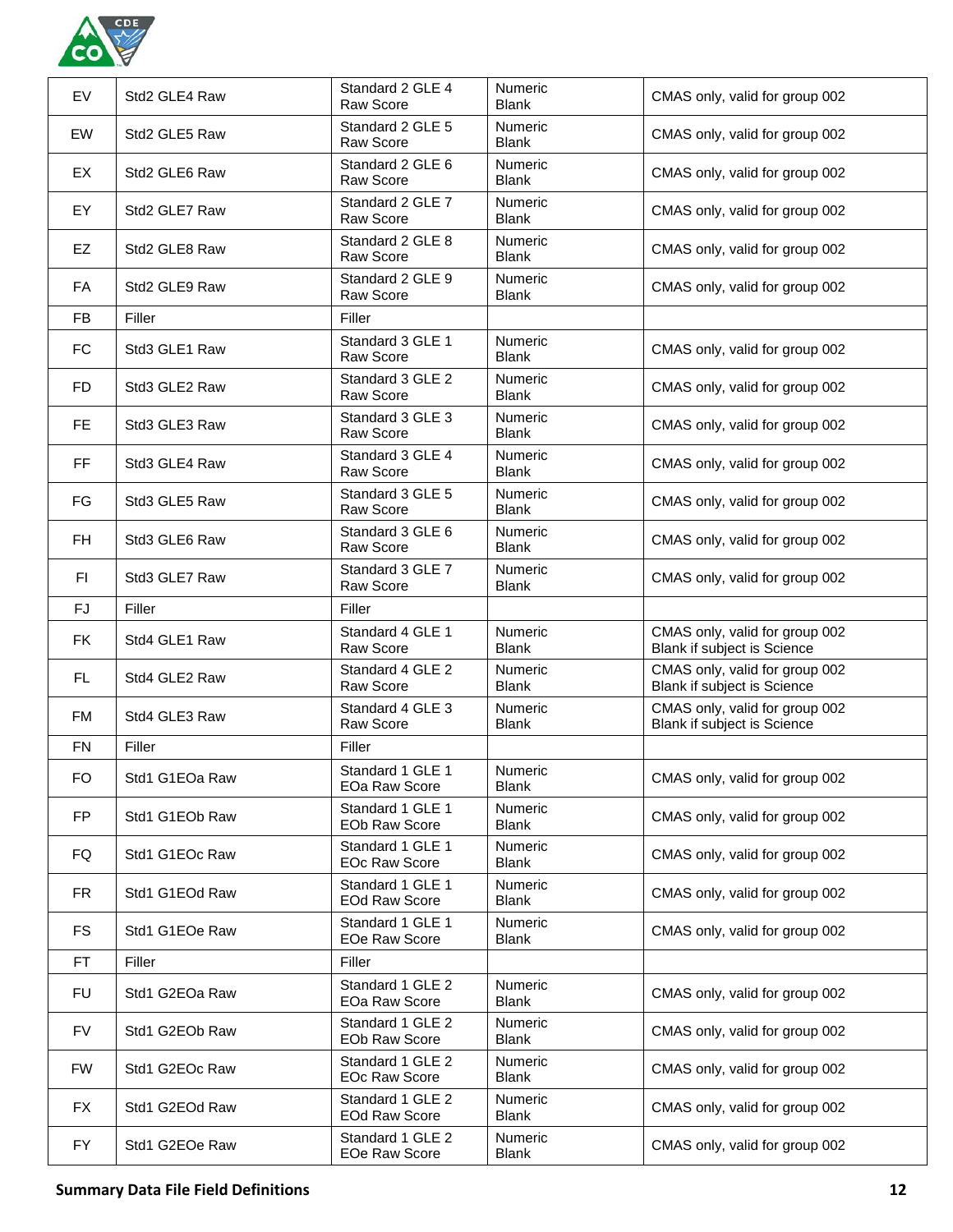

| EV        | Std2 GLE4 Raw  | Standard 2 GLE 4<br><b>Raw Score</b>     | <b>Numeric</b><br><b>Blank</b> | CMAS only, valid for group 002                                       |
|-----------|----------------|------------------------------------------|--------------------------------|----------------------------------------------------------------------|
| EW        | Std2 GLE5 Raw  | Standard 2 GLE 5<br>Raw Score            | <b>Numeric</b><br><b>Blank</b> | CMAS only, valid for group 002                                       |
| EX        | Std2 GLE6 Raw  | Standard 2 GLE 6<br><b>Raw Score</b>     | <b>Numeric</b><br><b>Blank</b> | CMAS only, valid for group 002                                       |
| EY        | Std2 GLE7 Raw  | Standard 2 GLE 7<br><b>Raw Score</b>     | <b>Numeric</b><br><b>Blank</b> | CMAS only, valid for group 002                                       |
| EZ        | Std2 GLE8 Raw  | Standard 2 GLE 8<br>Raw Score            | Numeric<br><b>Blank</b>        | CMAS only, valid for group 002                                       |
| FA        | Std2 GLE9 Raw  | Standard 2 GLE 9<br>Raw Score            | Numeric<br><b>Blank</b>        | CMAS only, valid for group 002                                       |
| <b>FB</b> | Filler         | Filler                                   |                                |                                                                      |
| <b>FC</b> | Std3 GLE1 Raw  | Standard 3 GLE 1<br>Raw Score            | <b>Numeric</b><br><b>Blank</b> | CMAS only, valid for group 002                                       |
| <b>FD</b> | Std3 GLE2 Raw  | Standard 3 GLE 2<br>Raw Score            | <b>Numeric</b><br><b>Blank</b> | CMAS only, valid for group 002                                       |
| FE.       | Std3 GLE3 Raw  | Standard 3 GLE 3<br>Raw Score            | <b>Numeric</b><br><b>Blank</b> | CMAS only, valid for group 002                                       |
| <b>FF</b> | Std3 GLE4 Raw  | Standard 3 GLE 4<br>Raw Score            | <b>Numeric</b><br><b>Blank</b> | CMAS only, valid for group 002                                       |
| FG        | Std3 GLE5 Raw  | Standard 3 GLE 5<br>Raw Score            | <b>Numeric</b><br><b>Blank</b> | CMAS only, valid for group 002                                       |
| FH        | Std3 GLE6 Raw  | Standard 3 GLE 6<br>Raw Score            | <b>Numeric</b><br><b>Blank</b> | CMAS only, valid for group 002                                       |
| FI        | Std3 GLE7 Raw  | Standard 3 GLE 7<br>Raw Score            | <b>Numeric</b><br><b>Blank</b> | CMAS only, valid for group 002                                       |
| FJ        | Filler         | Filler                                   |                                |                                                                      |
| <b>FK</b> | Std4 GLE1 Raw  | Standard 4 GLE 1<br>Raw Score            | Numeric<br><b>Blank</b>        | CMAS only, valid for group 002<br>Blank if subject is Science        |
| FL.       | Std4 GLE2 Raw  | Standard 4 GLE 2<br>Raw Score            | <b>Numeric</b><br><b>Blank</b> | CMAS only, valid for group 002<br><b>Blank if subject is Science</b> |
| FM        | Std4 GLE3 Raw  | Standard 4 GLE 3<br>Raw Score            | Numeric<br><b>Blank</b>        | CMAS only, valid for group 002<br>Blank if subject is Science        |
| <b>FN</b> | Filler         | Filler                                   |                                |                                                                      |
| <b>FO</b> | Std1 G1EOa Raw | Standard 1 GLE 1<br>EOa Raw Score        | Numeric<br><b>Blank</b>        | CMAS only, valid for group 002                                       |
| FP        | Std1 G1EOb Raw | Standard 1 GLE 1<br>EOb Raw Score        | <b>Numeric</b><br><b>Blank</b> | CMAS only, valid for group 002                                       |
| FQ        | Std1 G1EOc Raw | Standard 1 GLE 1<br><b>EOc Raw Score</b> | <b>Numeric</b><br><b>Blank</b> | CMAS only, valid for group 002                                       |
| <b>FR</b> | Std1 G1EOd Raw | Standard 1 GLE 1<br><b>EOd Raw Score</b> | <b>Numeric</b><br><b>Blank</b> | CMAS only, valid for group 002                                       |
| <b>FS</b> | Std1 G1EOe Raw | Standard 1 GLE 1<br>EOe Raw Score        | Numeric<br><b>Blank</b>        | CMAS only, valid for group 002                                       |
| <b>FT</b> | Filler         | Filler                                   |                                |                                                                      |
| <b>FU</b> | Std1 G2EOa Raw | Standard 1 GLE 2<br>EOa Raw Score        | <b>Numeric</b><br><b>Blank</b> | CMAS only, valid for group 002                                       |
| <b>FV</b> | Std1 G2EOb Raw | Standard 1 GLE 2<br><b>EOb Raw Score</b> | <b>Numeric</b><br><b>Blank</b> | CMAS only, valid for group 002                                       |
| <b>FW</b> | Std1 G2EOc Raw | Standard 1 GLE 2<br><b>EOc Raw Score</b> | <b>Numeric</b><br><b>Blank</b> | CMAS only, valid for group 002                                       |
| FX        | Std1 G2EOd Raw | Standard 1 GLE 2<br><b>EOd Raw Score</b> | <b>Numeric</b><br><b>Blank</b> | CMAS only, valid for group 002                                       |
| FY.       | Std1 G2EOe Raw | Standard 1 GLE 2<br>EOe Raw Score        | Numeric<br><b>Blank</b>        | CMAS only, valid for group 002                                       |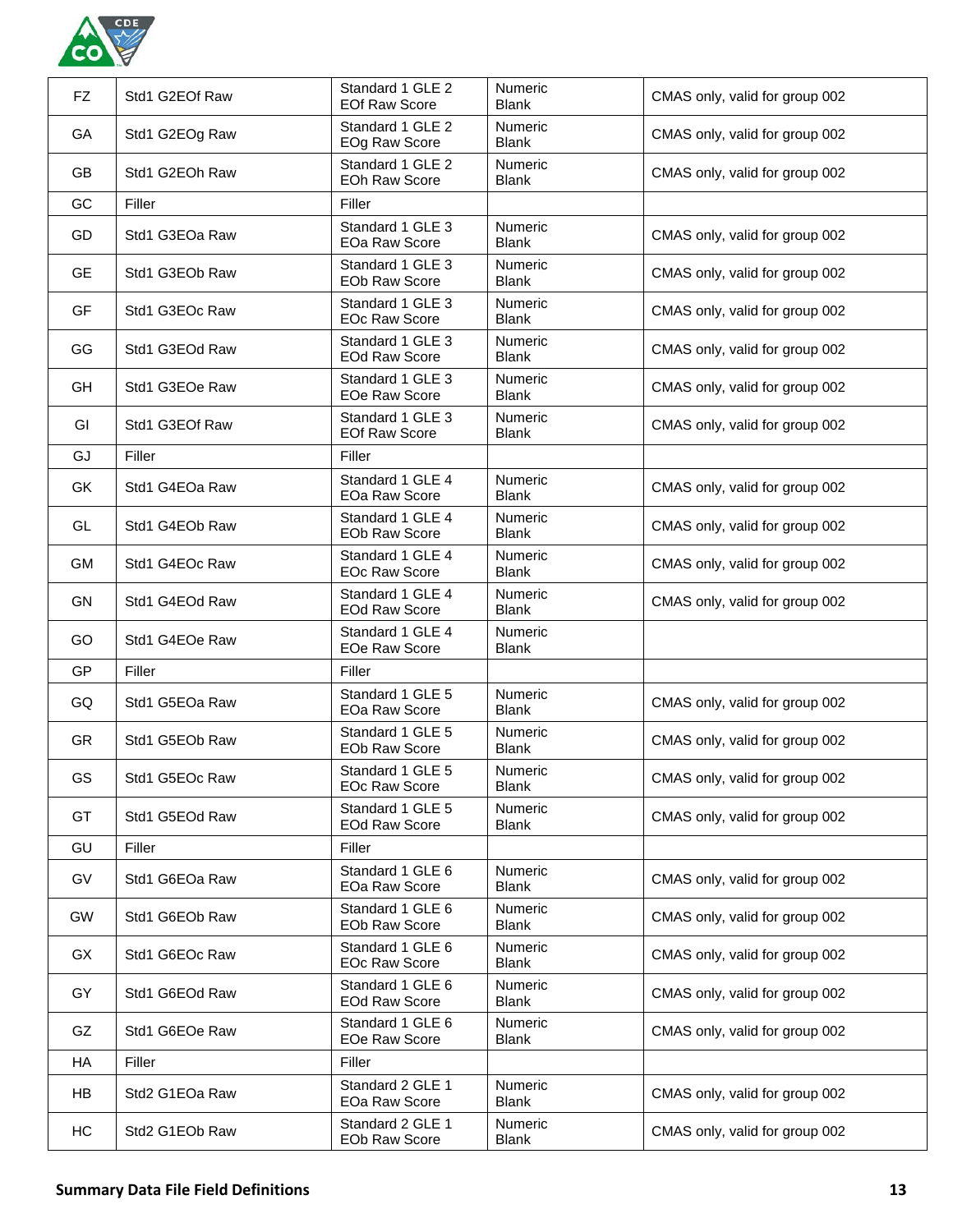

| FZ.       | Std1 G2EOf Raw | Standard 1 GLE 2<br><b>EOf Raw Score</b> | Numeric<br><b>Blank</b>        | CMAS only, valid for group 002 |
|-----------|----------------|------------------------------------------|--------------------------------|--------------------------------|
| GA        | Std1 G2EOg Raw | Standard 1 GLE 2<br>EOg Raw Score        | Numeric<br><b>Blank</b>        | CMAS only, valid for group 002 |
| GB        | Std1 G2EOh Raw | Standard 1 GLE 2<br><b>EOh Raw Score</b> | Numeric<br><b>Blank</b>        | CMAS only, valid for group 002 |
| GC        | Filler         | Filler                                   |                                |                                |
| GD        | Std1 G3EOa Raw | Standard 1 GLE 3<br><b>EOa Raw Score</b> | Numeric<br><b>Blank</b>        | CMAS only, valid for group 002 |
| <b>GE</b> | Std1 G3EOb Raw | Standard 1 GLE 3<br><b>EOb Raw Score</b> | <b>Numeric</b><br>Blank        | CMAS only, valid for group 002 |
| GF        | Std1 G3EOc Raw | Standard 1 GLE 3<br><b>EOc Raw Score</b> | Numeric<br><b>Blank</b>        | CMAS only, valid for group 002 |
| GG        | Std1 G3EOd Raw | Standard 1 GLE 3<br><b>EOd Raw Score</b> | Numeric<br><b>Blank</b>        | CMAS only, valid for group 002 |
| GH        | Std1 G3EOe Raw | Standard 1 GLE 3<br><b>EOe Raw Score</b> | <b>Numeric</b><br><b>Blank</b> | CMAS only, valid for group 002 |
| GI        | Std1 G3EOf Raw | Standard 1 GLE 3<br><b>EOf Raw Score</b> | Numeric<br><b>Blank</b>        | CMAS only, valid for group 002 |
| GJ        | Filler         | Filler                                   |                                |                                |
| GK        | Std1 G4EOa Raw | Standard 1 GLE 4<br><b>EOa Raw Score</b> | <b>Numeric</b><br><b>Blank</b> | CMAS only, valid for group 002 |
| GL        | Std1 G4EOb Raw | Standard 1 GLE 4<br><b>EOb Raw Score</b> | <b>Numeric</b><br><b>Blank</b> | CMAS only, valid for group 002 |
| <b>GM</b> | Std1 G4EOc Raw | Standard 1 GLE 4<br><b>EOc Raw Score</b> | Numeric<br><b>Blank</b>        | CMAS only, valid for group 002 |
| GN        | Std1 G4EOd Raw | Standard 1 GLE 4<br><b>EOd Raw Score</b> | Numeric<br><b>Blank</b>        | CMAS only, valid for group 002 |
| GO        | Std1 G4EOe Raw | Standard 1 GLE 4<br><b>EOe Raw Score</b> | <b>Numeric</b><br><b>Blank</b> |                                |
| GP        | Filler         | Filler                                   |                                |                                |
| GQ        | Std1 G5EOa Raw | Standard 1 GLE 5<br>EOa Raw Score        | <b>Numeric</b><br><b>Blank</b> | CMAS only, valid for group 002 |
| <b>GR</b> | Std1 G5EOb Raw | Standard 1 GLE 5<br><b>EOb Raw Score</b> | Numeric<br><b>Blank</b>        | CMAS only, valid for group 002 |
| <b>GS</b> | Std1 G5EOc Raw | Standard 1 GLE 5<br><b>EOc Raw Score</b> | Numeric<br><b>Blank</b>        | CMAS only, valid for group 002 |
| GT        | Std1 G5EOd Raw | Standard 1 GLE 5<br><b>EOd Raw Score</b> | Numeric<br><b>Blank</b>        | CMAS only, valid for group 002 |
| GU        | Filler         | Filler                                   |                                |                                |
| GV        | Std1 G6EOa Raw | Standard 1 GLE 6<br>EOa Raw Score        | <b>Numeric</b><br><b>Blank</b> | CMAS only, valid for group 002 |
| <b>GW</b> | Std1 G6EOb Raw | Standard 1 GLE 6<br>EOb Raw Score        | <b>Numeric</b><br><b>Blank</b> | CMAS only, valid for group 002 |
| GX        | Std1 G6EOc Raw | Standard 1 GLE 6<br><b>EOc Raw Score</b> | <b>Numeric</b><br><b>Blank</b> | CMAS only, valid for group 002 |
| GY        | Std1 G6EOd Raw | Standard 1 GLE 6<br><b>EOd Raw Score</b> | <b>Numeric</b><br><b>Blank</b> | CMAS only, valid for group 002 |
| GZ        | Std1 G6EOe Raw | Standard 1 GLE 6<br>EOe Raw Score        | <b>Numeric</b><br><b>Blank</b> | CMAS only, valid for group 002 |
| <b>HA</b> | Filler         | Filler                                   |                                |                                |
| HB        | Std2 G1EOa Raw | Standard 2 GLE 1<br>EOa Raw Score        | Numeric<br><b>Blank</b>        | CMAS only, valid for group 002 |
| HC        | Std2 G1EOb Raw | Standard 2 GLE 1<br>EOb Raw Score        | <b>Numeric</b><br><b>Blank</b> | CMAS only, valid for group 002 |
|           |                |                                          |                                |                                |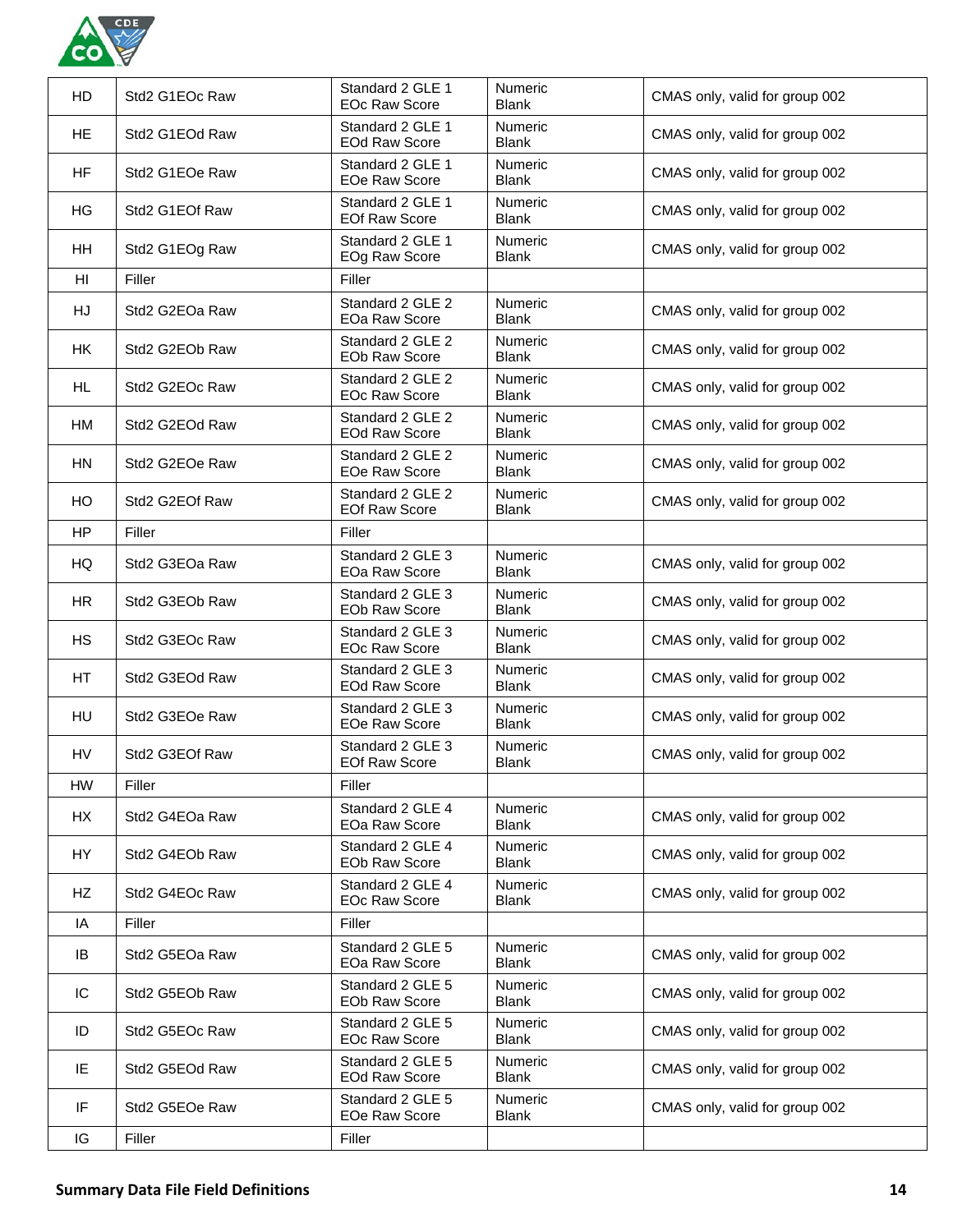

| HD              | Std2 G1EOc Raw | Standard 2 GLE 1<br><b>EOc Raw Score</b> | <b>Numeric</b><br><b>Blank</b> | CMAS only, valid for group 002 |
|-----------------|----------------|------------------------------------------|--------------------------------|--------------------------------|
| <b>HE</b>       | Std2 G1EOd Raw | Standard 2 GLE 1<br><b>EOd Raw Score</b> | <b>Numeric</b><br><b>Blank</b> | CMAS only, valid for group 002 |
| <b>HF</b>       | Std2 G1EOe Raw | Standard 2 GLE 1<br>EOe Raw Score        | <b>Numeric</b><br><b>Blank</b> | CMAS only, valid for group 002 |
| HG              | Std2 G1EOf Raw | Standard 2 GLE 1<br><b>EOf Raw Score</b> | <b>Numeric</b><br><b>Blank</b> | CMAS only, valid for group 002 |
| HH              | Std2 G1EOg Raw | Standard 2 GLE 1<br>EOg Raw Score        | <b>Numeric</b><br><b>Blank</b> | CMAS only, valid for group 002 |
| H <sub>II</sub> | Filler         | Filler                                   |                                |                                |
| HJ              | Std2 G2EOa Raw | Standard 2 GLE 2<br>EOa Raw Score        | Numeric<br><b>Blank</b>        | CMAS only, valid for group 002 |
| HK              | Std2 G2EOb Raw | Standard 2 GLE 2<br>EOb Raw Score        | <b>Numeric</b><br><b>Blank</b> | CMAS only, valid for group 002 |
| HL              | Std2 G2EOc Raw | Standard 2 GLE 2<br><b>EOc Raw Score</b> | <b>Numeric</b><br><b>Blank</b> | CMAS only, valid for group 002 |
| HМ              | Std2 G2EOd Raw | Standard 2 GLE 2<br><b>EOd Raw Score</b> | <b>Numeric</b><br><b>Blank</b> | CMAS only, valid for group 002 |
| HN              | Std2 G2EOe Raw | Standard 2 GLE 2<br><b>EOe Raw Score</b> | <b>Numeric</b><br><b>Blank</b> | CMAS only, valid for group 002 |
| HO              | Std2 G2EOf Raw | Standard 2 GLE 2<br><b>EOf Raw Score</b> | <b>Numeric</b><br><b>Blank</b> | CMAS only, valid for group 002 |
| <b>HP</b>       | Filler         | Filler                                   |                                |                                |
| HQ              | Std2 G3EOa Raw | Standard 2 GLE 3<br>EOa Raw Score        | <b>Numeric</b><br><b>Blank</b> | CMAS only, valid for group 002 |
| <b>HR</b>       | Std2 G3EOb Raw | Standard 2 GLE 3<br><b>EOb Raw Score</b> | <b>Numeric</b><br><b>Blank</b> | CMAS only, valid for group 002 |
| <b>HS</b>       | Std2 G3EOc Raw | Standard 2 GLE 3<br><b>EOc Raw Score</b> | <b>Numeric</b><br><b>Blank</b> | CMAS only, valid for group 002 |
| HT              | Std2 G3EOd Raw | Standard 2 GLE 3<br><b>EOd Raw Score</b> | <b>Numeric</b><br><b>Blank</b> | CMAS only, valid for group 002 |
| HU              | Std2 G3EOe Raw | Standard 2 GLE 3<br><b>EOe Raw Score</b> | <b>Numeric</b><br><b>Blank</b> | CMAS only, valid for group 002 |
| HV              | Std2 G3EOf Raw | Standard 2 GLE 3<br><b>EOf Raw Score</b> | <b>Numeric</b><br><b>Blank</b> | CMAS only, valid for group 002 |
| <b>HW</b>       | Filler         | Filler                                   |                                |                                |
| <b>HX</b>       | Std2 G4EOa Raw | Standard 2 GLE 4<br>EOa Raw Score        | <b>Numeric</b><br><b>Blank</b> | CMAS only, valid for group 002 |
| HY              | Std2 G4EOb Raw | Standard 2 GLE 4<br>EOb Raw Score        | <b>Numeric</b><br><b>Blank</b> | CMAS only, valid for group 002 |
| HZ              | Std2 G4EOc Raw | Standard 2 GLE 4<br><b>EOc Raw Score</b> | <b>Numeric</b><br><b>Blank</b> | CMAS only, valid for group 002 |
| IA              | Filler         | Filler                                   |                                |                                |
| IB              | Std2 G5EOa Raw | Standard 2 GLE 5<br>EOa Raw Score        | <b>Numeric</b><br><b>Blank</b> | CMAS only, valid for group 002 |
| IC              | Std2 G5EOb Raw | Standard 2 GLE 5<br>EOb Raw Score        | <b>Numeric</b><br><b>Blank</b> | CMAS only, valid for group 002 |
| ID              | Std2 G5EOc Raw | Standard 2 GLE 5<br><b>EOc Raw Score</b> | <b>Numeric</b><br><b>Blank</b> | CMAS only, valid for group 002 |
| IE              | Std2 G5EOd Raw | Standard 2 GLE 5<br><b>EOd Raw Score</b> | <b>Numeric</b><br><b>Blank</b> | CMAS only, valid for group 002 |
| IF              | Std2 G5EOe Raw | Standard 2 GLE 5<br>EOe Raw Score        | <b>Numeric</b><br><b>Blank</b> | CMAS only, valid for group 002 |
| IG              | Filler         | Filler                                   |                                |                                |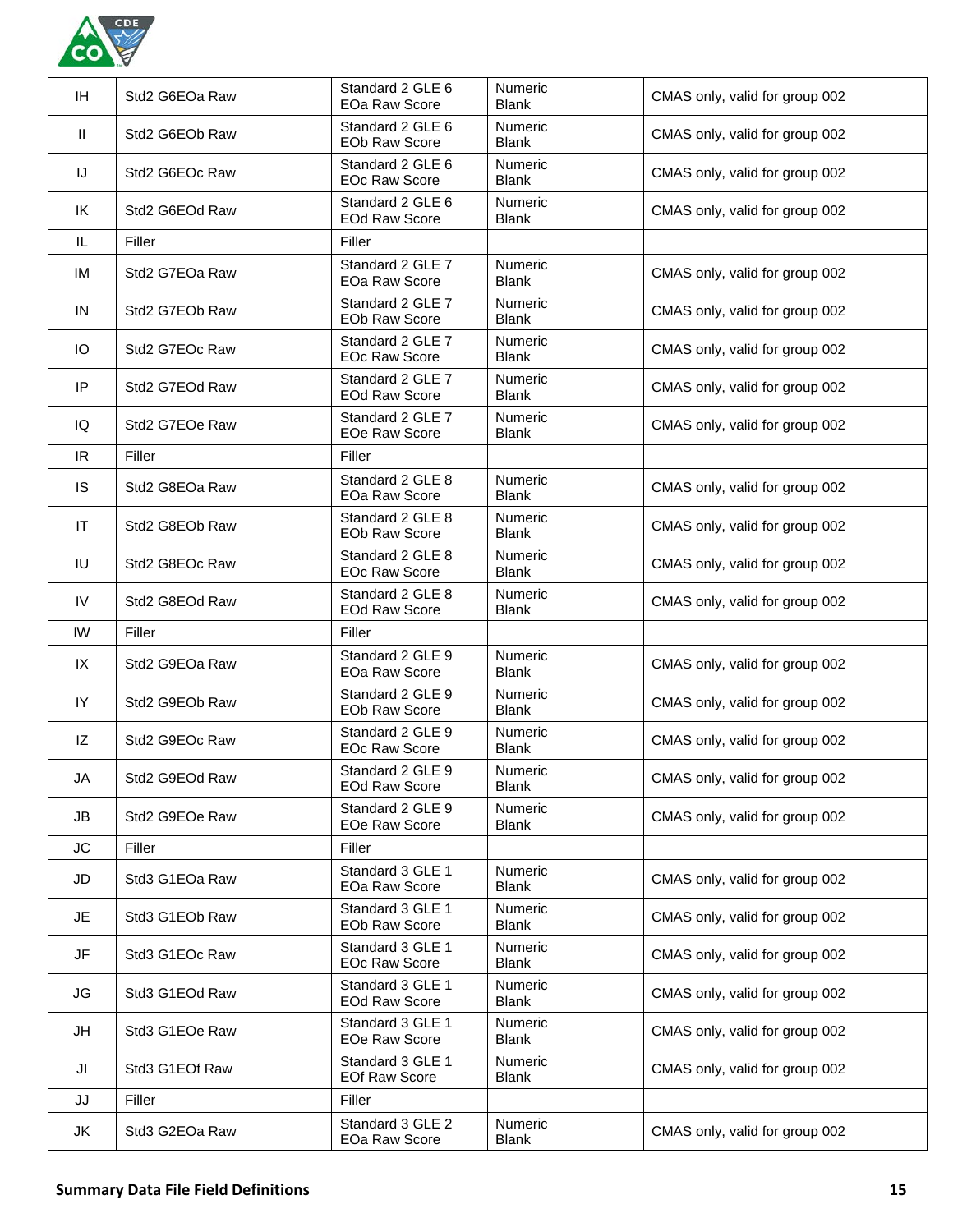

| IH.          | Std2 G6EOa Raw | Standard 2 GLE 6<br>EOa Raw Score        | Numeric<br><b>Blank</b>        | CMAS only, valid for group 002 |
|--------------|----------------|------------------------------------------|--------------------------------|--------------------------------|
| $\mathbf{H}$ | Std2 G6EOb Raw | Standard 2 GLE 6<br><b>EOb Raw Score</b> | <b>Numeric</b><br><b>Blank</b> | CMAS only, valid for group 002 |
| IJ           | Std2 G6EOc Raw | Standard 2 GLE 6<br><b>EOc Raw Score</b> | <b>Numeric</b><br><b>Blank</b> | CMAS only, valid for group 002 |
| IK           | Std2 G6EOd Raw | Standard 2 GLE 6<br><b>EOd Raw Score</b> | <b>Numeric</b><br><b>Blank</b> | CMAS only, valid for group 002 |
| IL           | Filler         | Filler                                   |                                |                                |
| IM           | Std2 G7EOa Raw | Standard 2 GLE 7<br>EOa Raw Score        | <b>Numeric</b><br><b>Blank</b> | CMAS only, valid for group 002 |
| IN           | Std2 G7EOb Raw | Standard 2 GLE 7<br>EOb Raw Score        | <b>Numeric</b><br><b>Blank</b> | CMAS only, valid for group 002 |
| Ю            | Std2 G7EOc Raw | Standard 2 GLE 7<br><b>EOc Raw Score</b> | <b>Numeric</b><br><b>Blank</b> | CMAS only, valid for group 002 |
| IP           | Std2 G7EOd Raw | Standard 2 GLE 7<br><b>EOd Raw Score</b> | <b>Numeric</b><br><b>Blank</b> | CMAS only, valid for group 002 |
| IQ           | Std2 G7EOe Raw | Standard 2 GLE 7<br>EOe Raw Score        | <b>Numeric</b><br><b>Blank</b> | CMAS only, valid for group 002 |
| IR.          | Filler         | Filler                                   |                                |                                |
| IS           | Std2 G8EOa Raw | Standard 2 GLE 8<br>EOa Raw Score        | Numeric<br><b>Blank</b>        | CMAS only, valid for group 002 |
| IT           | Std2 G8EOb Raw | Standard 2 GLE 8<br><b>EOb Raw Score</b> | <b>Numeric</b><br><b>Blank</b> | CMAS only, valid for group 002 |
| IU           | Std2 G8EOc Raw | Standard 2 GLE 8<br><b>EOc Raw Score</b> | <b>Numeric</b><br><b>Blank</b> | CMAS only, valid for group 002 |
| IV           | Std2 G8EOd Raw | Standard 2 GLE 8<br><b>EOd Raw Score</b> | <b>Numeric</b><br><b>Blank</b> | CMAS only, valid for group 002 |
| IW           | Filler         | Filler                                   |                                |                                |
| IX           | Std2 G9EOa Raw | Standard 2 GLE 9<br>EOa Raw Score        | <b>Numeric</b><br><b>Blank</b> | CMAS only, valid for group 002 |
| IY           | Std2 G9EOb Raw | Standard 2 GLE 9                         | <b>Numeric</b>                 | CMAS only, valid for group 002 |
|              |                | EOb Raw Score                            | <b>Blank</b>                   |                                |
| IZ           | Std2 G9EOc Raw | Standard 2 GLE 9<br><b>EOc Raw Score</b> | <b>Numeric</b><br><b>Blank</b> | CMAS only, valid for group 002 |
| JA           | Std2 G9EOd Raw | Standard 2 GLE 9<br><b>EOd Raw Score</b> | <b>Numeric</b><br><b>Blank</b> | CMAS only, valid for group 002 |
| JB           | Std2 G9EOe Raw | Standard 2 GLE 9<br>EOe Raw Score        | <b>Numeric</b><br><b>Blank</b> | CMAS only, valid for group 002 |
| JC           | Filler         | Filler                                   |                                |                                |
| JD           | Std3 G1EOa Raw | Standard 3 GLE 1<br>EOa Raw Score        | <b>Numeric</b><br><b>Blank</b> | CMAS only, valid for group 002 |
| JE.          | Std3 G1EOb Raw | Standard 3 GLE 1<br><b>EOb Raw Score</b> | <b>Numeric</b><br><b>Blank</b> | CMAS only, valid for group 002 |
| JF           | Std3 G1EOc Raw | Standard 3 GLE 1<br>EOc Raw Score        | <b>Numeric</b><br><b>Blank</b> | CMAS only, valid for group 002 |
| JG           | Std3 G1EOd Raw | Standard 3 GLE 1<br><b>EOd Raw Score</b> | <b>Numeric</b><br><b>Blank</b> | CMAS only, valid for group 002 |
| JH           | Std3 G1EOe Raw | Standard 3 GLE 1<br>EOe Raw Score        | <b>Numeric</b><br><b>Blank</b> | CMAS only, valid for group 002 |
| JI           | Std3 G1EOf Raw | Standard 3 GLE 1<br><b>EOf Raw Score</b> | <b>Numeric</b><br><b>Blank</b> | CMAS only, valid for group 002 |
| JJ           | Filler         | Filler                                   |                                |                                |
| JK           | Std3 G2EOa Raw | Standard 3 GLE 2<br>EOa Raw Score        | Numeric<br><b>Blank</b>        | CMAS only, valid for group 002 |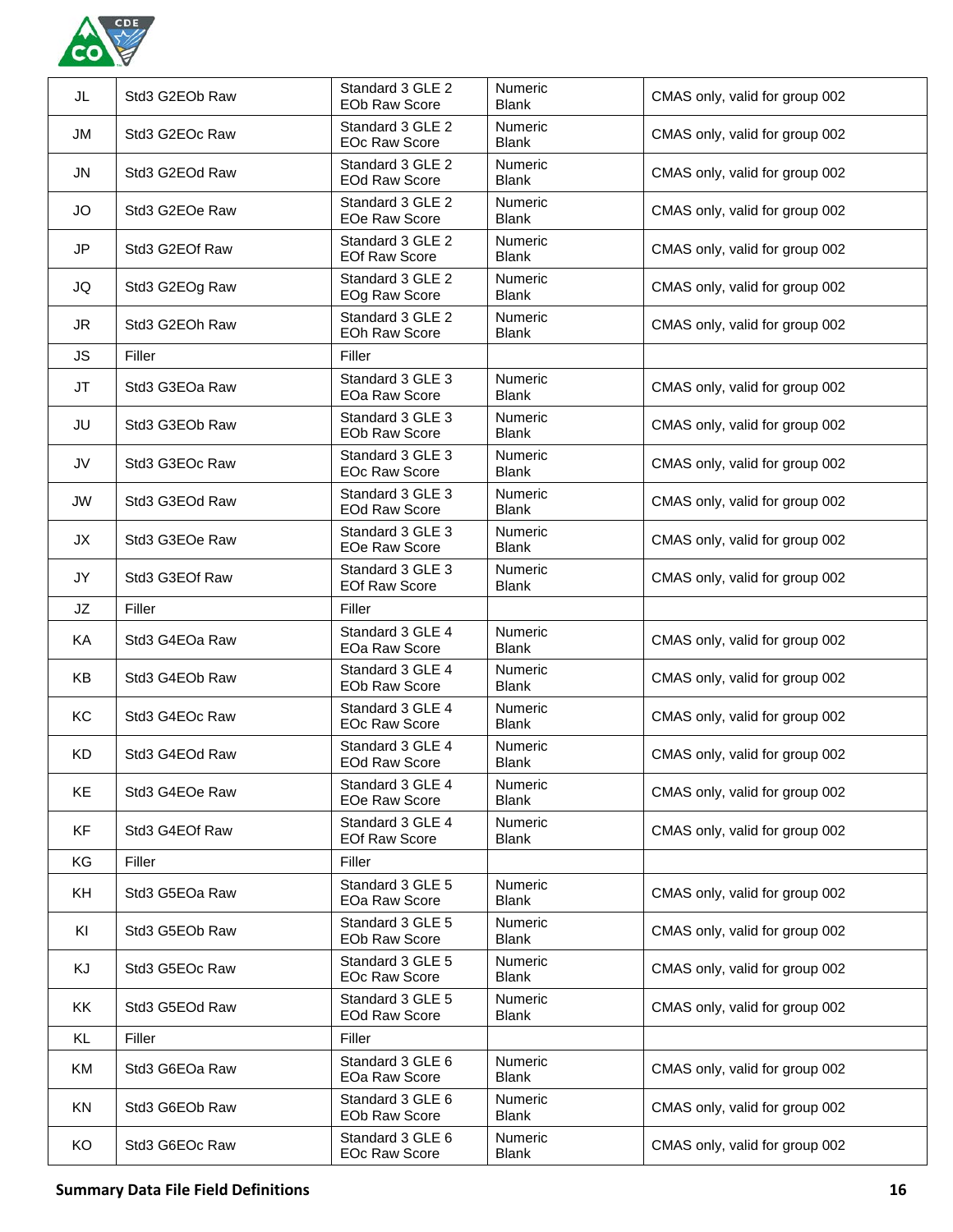

|           |                | <b>EOb Raw Score</b>                     | <b>Blank</b>                   | CMAS only, valid for group 002 |
|-----------|----------------|------------------------------------------|--------------------------------|--------------------------------|
| JM        | Std3 G2EOc Raw | Standard 3 GLE 2<br><b>EOc Raw Score</b> | Numeric<br><b>Blank</b>        | CMAS only, valid for group 002 |
| JN        | Std3 G2EOd Raw | Standard 3 GLE 2<br><b>EOd Raw Score</b> | Numeric<br><b>Blank</b>        | CMAS only, valid for group 002 |
| <b>JO</b> | Std3 G2EOe Raw | Standard 3 GLE 2<br><b>EOe Raw Score</b> | <b>Numeric</b><br><b>Blank</b> | CMAS only, valid for group 002 |
| <b>JP</b> | Std3 G2EOf Raw | Standard 3 GLE 2<br><b>EOf Raw Score</b> | Numeric<br><b>Blank</b>        | CMAS only, valid for group 002 |
| JQ        | Std3 G2EOg Raw | Standard 3 GLE 2<br>EOg Raw Score        | <b>Numeric</b><br><b>Blank</b> | CMAS only, valid for group 002 |
| JR        | Std3 G2EOh Raw | Standard 3 GLE 2<br><b>EOh Raw Score</b> | Numeric<br><b>Blank</b>        | CMAS only, valid for group 002 |
| <b>JS</b> | Filler         | Filler                                   |                                |                                |
| JT        | Std3 G3EOa Raw | Standard 3 GLE 3<br>EOa Raw Score        | Numeric<br><b>Blank</b>        | CMAS only, valid for group 002 |
| JU        | Std3 G3EOb Raw | Standard 3 GLE 3<br><b>EOb Raw Score</b> | Numeric<br><b>Blank</b>        | CMAS only, valid for group 002 |
| JV        | Std3 G3EOc Raw | Standard 3 GLE 3<br><b>EOc Raw Score</b> | <b>Numeric</b><br><b>Blank</b> | CMAS only, valid for group 002 |
| JW        | Std3 G3EOd Raw | Standard 3 GLE 3<br><b>EOd Raw Score</b> | <b>Numeric</b><br><b>Blank</b> | CMAS only, valid for group 002 |
| JX        | Std3 G3EOe Raw | Standard 3 GLE 3<br><b>EOe Raw Score</b> | Numeric<br><b>Blank</b>        | CMAS only, valid for group 002 |
| JY        | Std3 G3EOf Raw | Standard 3 GLE 3<br><b>EOf Raw Score</b> | Numeric<br><b>Blank</b>        | CMAS only, valid for group 002 |
| JZ        | Filler         | Filler                                   |                                |                                |
| KA        | Std3 G4EOa Raw | Standard 3 GLE 4<br>EOa Raw Score        | <b>Numeric</b><br><b>Blank</b> | CMAS only, valid for group 002 |
| <b>KB</b> | Std3 G4EOb Raw | Standard 3 GLE 4<br><b>EOb Raw Score</b> | Numeric<br><b>Blank</b>        | CMAS only, valid for group 002 |
| KC        | Std3 G4EOc Raw | Standard 3 GLE 4<br><b>EOc Raw Score</b> | Numeric<br><b>Blank</b>        | CMAS only, valid for group 002 |
| KD        | Std3 G4EOd Raw | Standard 3 GLE 4<br><b>EOd Raw Score</b> | Numeric<br><b>Blank</b>        | CMAS only, valid for group 002 |
| KE        | Std3 G4EOe Raw | Standard 3 GLE 4<br><b>EOe Raw Score</b> | Numeric<br><b>Blank</b>        | CMAS only, valid for group 002 |
| KF        | Std3 G4EOf Raw | Standard 3 GLE 4<br><b>EOf Raw Score</b> | <b>Numeric</b><br><b>Blank</b> | CMAS only, valid for group 002 |
| KG        | Filler         | Filler                                   |                                |                                |
| <b>KH</b> | Std3 G5EOa Raw | Standard 3 GLE 5<br>EOa Raw Score        | Numeric<br><b>Blank</b>        | CMAS only, valid for group 002 |
| KI        | Std3 G5EOb Raw | Standard 3 GLE 5<br><b>EOb Raw Score</b> | <b>Numeric</b><br><b>Blank</b> | CMAS only, valid for group 002 |
| KJ        | Std3 G5EOc Raw | Standard 3 GLE 5<br><b>EOc Raw Score</b> | Numeric<br><b>Blank</b>        | CMAS only, valid for group 002 |
| KK        | Std3 G5EOd Raw | Standard 3 GLE 5<br><b>EOd Raw Score</b> | Numeric<br><b>Blank</b>        | CMAS only, valid for group 002 |
| KL        | Filler         | Filler                                   |                                |                                |
| ΚM        | Std3 G6EOa Raw | Standard 3 GLE 6<br>EOa Raw Score        | <b>Numeric</b><br><b>Blank</b> | CMAS only, valid for group 002 |
| KN        | Std3 G6EOb Raw | Standard 3 GLE 6<br>EOb Raw Score        | Numeric<br><b>Blank</b>        | CMAS only, valid for group 002 |
| KO        | Std3 G6EOc Raw | Standard 3 GLE 6<br><b>EOc Raw Score</b> | <b>Numeric</b><br><b>Blank</b> | CMAS only, valid for group 002 |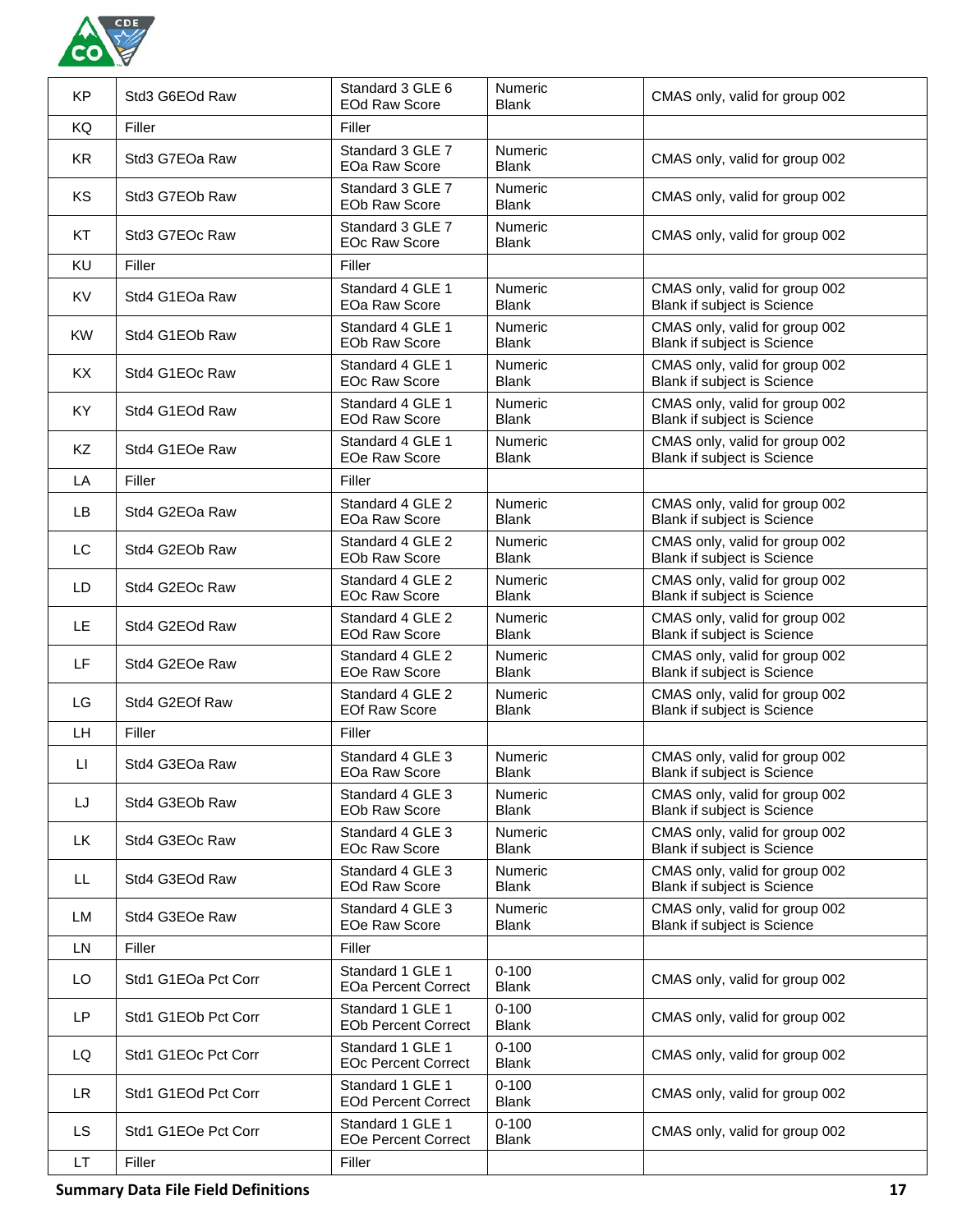

| <b>KP</b> | Std3 G6EOd Raw      | Standard 3 GLE 6<br><b>EOd Raw Score</b>       | Numeric<br><b>Blank</b>        | CMAS only, valid for group 002                                       |
|-----------|---------------------|------------------------------------------------|--------------------------------|----------------------------------------------------------------------|
| KQ        | Filler              | Filler                                         |                                |                                                                      |
| <b>KR</b> | Std3 G7EOa Raw      | Standard 3 GLE 7<br>EOa Raw Score              | <b>Numeric</b><br><b>Blank</b> | CMAS only, valid for group 002                                       |
| KS        | Std3 G7EOb Raw      | Standard 3 GLE 7<br><b>EOb Raw Score</b>       | Numeric<br><b>Blank</b>        | CMAS only, valid for group 002                                       |
| KT        | Std3 G7EOc Raw      | Standard 3 GLE 7<br><b>EOc Raw Score</b>       | <b>Numeric</b><br><b>Blank</b> | CMAS only, valid for group 002                                       |
| KU        | Filler              | Filler                                         |                                |                                                                      |
| KV        | Std4 G1EOa Raw      | Standard 4 GLE 1<br>EOa Raw Score              | Numeric<br><b>Blank</b>        | CMAS only, valid for group 002<br>Blank if subject is Science        |
| <b>KW</b> | Std4 G1EOb Raw      | Standard 4 GLE 1<br><b>EOb Raw Score</b>       | <b>Numeric</b><br><b>Blank</b> | CMAS only, valid for group 002<br><b>Blank if subject is Science</b> |
| KX        | Std4 G1EOc Raw      | Standard 4 GLE 1<br><b>EOc Raw Score</b>       | <b>Numeric</b><br><b>Blank</b> | CMAS only, valid for group 002<br>Blank if subject is Science        |
| KY.       | Std4 G1EOd Raw      | Standard 4 GLE 1<br><b>EOd Raw Score</b>       | <b>Numeric</b><br><b>Blank</b> | CMAS only, valid for group 002<br>Blank if subject is Science        |
| KZ        | Std4 G1EOe Raw      | Standard 4 GLE 1<br>EOe Raw Score              | <b>Numeric</b><br>Blank        | CMAS only, valid for group 002<br>Blank if subject is Science        |
| LA        | Filler              | Filler                                         |                                |                                                                      |
| LB        | Std4 G2EOa Raw      | Standard 4 GLE 2<br>EOa Raw Score              | Numeric<br><b>Blank</b>        | CMAS only, valid for group 002<br><b>Blank if subject is Science</b> |
| LC        | Std4 G2EOb Raw      | Standard 4 GLE 2<br><b>EOb Raw Score</b>       | <b>Numeric</b><br><b>Blank</b> | CMAS only, valid for group 002<br>Blank if subject is Science        |
| LD.       | Std4 G2EOc Raw      | Standard 4 GLE 2<br><b>EOc Raw Score</b>       | Numeric<br><b>Blank</b>        | CMAS only, valid for group 002<br>Blank if subject is Science        |
| LE        | Std4 G2EOd Raw      | Standard 4 GLE 2<br><b>EOd Raw Score</b>       | <b>Numeric</b><br><b>Blank</b> | CMAS only, valid for group 002<br>Blank if subject is Science        |
| LF.       | Std4 G2EOe Raw      | Standard 4 GLE 2<br>EOe Raw Score              | <b>Numeric</b><br><b>Blank</b> | CMAS only, valid for group 002<br>Blank if subject is Science        |
| LG        | Std4 G2EOf Raw      | Standard 4 GLE 2<br><b>EOf Raw Score</b>       | <b>Numeric</b><br><b>Blank</b> | CMAS only, valid for group 002<br>Blank if subject is Science        |
| LH        | Filler              | Filler                                         |                                |                                                                      |
| П         | Std4 G3EOa Raw      | Standard 4 GLE 3<br>EOa Raw Score              | <b>Numeric</b><br>Blank        | CMAS only, valid for group 002<br>Blank if subject is Science        |
| LJ        | Std4 G3EOb Raw      | Standard 4 GLE 3<br><b>EOb Raw Score</b>       | Numeric<br><b>Blank</b>        | CMAS only, valid for group 002<br>Blank if subject is Science        |
| LK        | Std4 G3EOc Raw      | Standard 4 GLE 3<br><b>EOc Raw Score</b>       | Numeric<br><b>Blank</b>        | CMAS only, valid for group 002<br>Blank if subject is Science        |
| LL.       | Std4 G3EOd Raw      | Standard 4 GLE 3<br><b>EOd Raw Score</b>       | <b>Numeric</b><br><b>Blank</b> | CMAS only, valid for group 002<br>Blank if subject is Science        |
| LM        | Std4 G3EOe Raw      | Standard 4 GLE 3<br><b>EOe Raw Score</b>       | <b>Numeric</b><br><b>Blank</b> | CMAS only, valid for group 002<br>Blank if subject is Science        |
| <b>LN</b> | Filler              | Filler                                         |                                |                                                                      |
| LO        | Std1 G1EOa Pct Corr | Standard 1 GLE 1<br><b>EOa Percent Correct</b> | $0 - 100$<br><b>Blank</b>      | CMAS only, valid for group 002                                       |
| LP        | Std1 G1EOb Pct Corr | Standard 1 GLE 1<br><b>EOb Percent Correct</b> | $0 - 100$<br><b>Blank</b>      | CMAS only, valid for group 002                                       |
| LQ        | Std1 G1EOc Pct Corr | Standard 1 GLE 1<br><b>EOc Percent Correct</b> | $0 - 100$<br><b>Blank</b>      | CMAS only, valid for group 002                                       |
| LR.       | Std1 G1EOd Pct Corr | Standard 1 GLE 1<br><b>EOd Percent Correct</b> | $0 - 100$<br><b>Blank</b>      | CMAS only, valid for group 002                                       |
| <b>LS</b> | Std1 G1EOe Pct Corr | Standard 1 GLE 1<br><b>EOe Percent Correct</b> | $0 - 100$<br><b>Blank</b>      | CMAS only, valid for group 002                                       |
| LT.       | Filler              | Filler                                         |                                |                                                                      |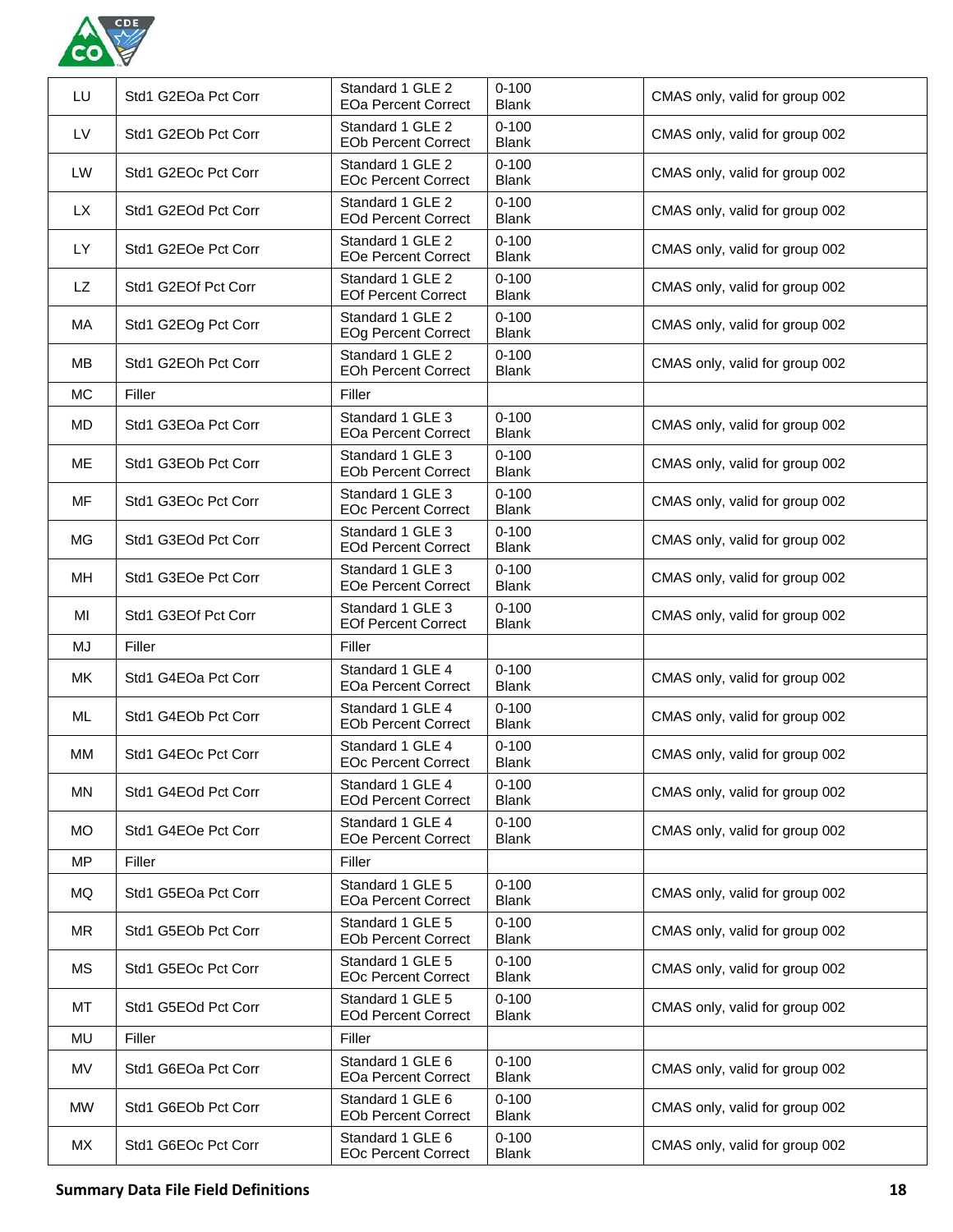

| LU        | Std1 G2EOa Pct Corr | Standard 1 GLE 2<br><b>EOa Percent Correct</b> | $0 - 100$<br><b>Blank</b> | CMAS only, valid for group 002 |
|-----------|---------------------|------------------------------------------------|---------------------------|--------------------------------|
| <b>LV</b> | Std1 G2EOb Pct Corr | Standard 1 GLE 2<br><b>EOb Percent Correct</b> | $0 - 100$<br><b>Blank</b> | CMAS only, valid for group 002 |
| LW        | Std1 G2EOc Pct Corr | Standard 1 GLE 2<br><b>EOc Percent Correct</b> | $0 - 100$<br><b>Blank</b> | CMAS only, valid for group 002 |
| <b>LX</b> | Std1 G2EOd Pct Corr | Standard 1 GLE 2<br><b>EOd Percent Correct</b> | $0 - 100$<br><b>Blank</b> | CMAS only, valid for group 002 |
| LY.       | Std1 G2EOe Pct Corr | Standard 1 GLE 2<br><b>EOe Percent Correct</b> | $0 - 100$<br><b>Blank</b> | CMAS only, valid for group 002 |
| LZ        | Std1 G2EOf Pct Corr | Standard 1 GLE 2<br><b>EOf Percent Correct</b> | $0 - 100$<br><b>Blank</b> | CMAS only, valid for group 002 |
| МA        | Std1 G2EOg Pct Corr | Standard 1 GLE 2<br><b>EOg Percent Correct</b> | $0 - 100$<br><b>Blank</b> | CMAS only, valid for group 002 |
| MВ        | Std1 G2EOh Pct Corr | Standard 1 GLE 2<br><b>EOh Percent Correct</b> | $0 - 100$<br><b>Blank</b> | CMAS only, valid for group 002 |
| <b>MC</b> | Filler              | Filler                                         |                           |                                |
| MD        | Std1 G3EOa Pct Corr | Standard 1 GLE 3<br><b>EOa Percent Correct</b> | $0 - 100$<br><b>Blank</b> | CMAS only, valid for group 002 |
| МE        | Std1 G3EOb Pct Corr | Standard 1 GLE 3<br><b>EOb Percent Correct</b> | $0 - 100$<br><b>Blank</b> | CMAS only, valid for group 002 |
| MF        | Std1 G3EOc Pct Corr | Standard 1 GLE 3<br><b>EOc Percent Correct</b> | $0 - 100$<br><b>Blank</b> | CMAS only, valid for group 002 |
| МG        | Std1 G3EOd Pct Corr | Standard 1 GLE 3<br><b>EOd Percent Correct</b> | $0 - 100$<br><b>Blank</b> | CMAS only, valid for group 002 |
| MН        | Std1 G3EOe Pct Corr | Standard 1 GLE 3<br><b>EOe Percent Correct</b> | $0 - 100$<br><b>Blank</b> | CMAS only, valid for group 002 |
| MI        | Std1 G3EOf Pct Corr | Standard 1 GLE 3<br><b>EOf Percent Correct</b> | $0 - 100$<br><b>Blank</b> | CMAS only, valid for group 002 |
| MJ        | Filler              | Filler                                         |                           |                                |
| MK.       | Std1 G4EOa Pct Corr | Standard 1 GLE 4<br><b>EOa Percent Correct</b> | $0 - 100$<br><b>Blank</b> | CMAS only, valid for group 002 |
| ML        | Std1 G4EOb Pct Corr | Standard 1 GLE 4<br><b>EOb Percent Correct</b> | $0 - 100$<br><b>Blank</b> | CMAS only, valid for group 002 |
| MМ        | Std1 G4EOc Pct Corr | Standard 1 GLE 4<br><b>EOc Percent Correct</b> | $0 - 100$<br><b>Blank</b> | CMAS only, valid for group 002 |
| MN        | Std1 G4EOd Pct Corr | Standard 1 GLE 4<br><b>EOd Percent Correct</b> | $0 - 100$<br><b>Blank</b> | CMAS only, valid for group 002 |
| <b>MO</b> | Std1 G4EOe Pct Corr | Standard 1 GLE 4<br><b>EOe Percent Correct</b> | $0 - 100$<br><b>Blank</b> | CMAS only, valid for group 002 |
| <b>MP</b> | Filler              | Filler                                         |                           |                                |
| MQ        | Std1 G5EOa Pct Corr | Standard 1 GLE 5<br><b>EOa Percent Correct</b> | $0 - 100$<br><b>Blank</b> | CMAS only, valid for group 002 |
| MR        | Std1 G5EOb Pct Corr | Standard 1 GLE 5<br><b>EOb Percent Correct</b> | $0 - 100$<br><b>Blank</b> | CMAS only, valid for group 002 |
| МS        | Std1 G5EOc Pct Corr | Standard 1 GLE 5<br><b>EOc Percent Correct</b> | $0 - 100$<br><b>Blank</b> | CMAS only, valid for group 002 |
| МT        | Std1 G5EOd Pct Corr | Standard 1 GLE 5<br><b>EOd Percent Correct</b> | $0 - 100$<br><b>Blank</b> | CMAS only, valid for group 002 |
| MU        | Filler              | Filler                                         |                           |                                |
| MV        | Std1 G6EOa Pct Corr | Standard 1 GLE 6<br><b>EOa Percent Correct</b> | $0 - 100$<br><b>Blank</b> | CMAS only, valid for group 002 |
| MW.       | Std1 G6EOb Pct Corr | Standard 1 GLE 6<br><b>EOb Percent Correct</b> | $0 - 100$<br><b>Blank</b> | CMAS only, valid for group 002 |
| МX        | Std1 G6EOc Pct Corr | Standard 1 GLE 6<br><b>EOc Percent Correct</b> | $0 - 100$<br><b>Blank</b> | CMAS only, valid for group 002 |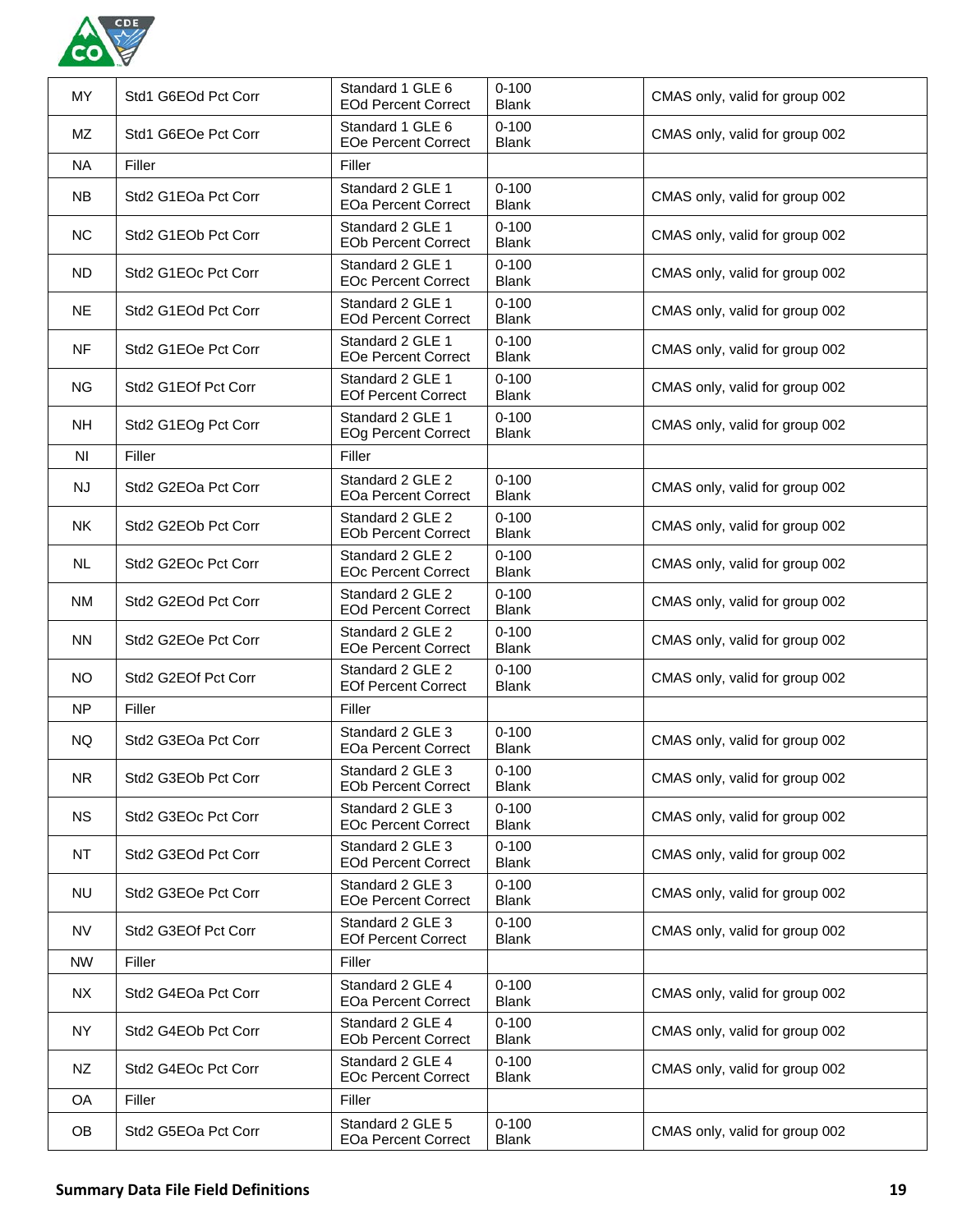

| MY             | Std1 G6EOd Pct Corr | Standard 1 GLE 6<br><b>EOd Percent Correct</b> | $0 - 100$<br><b>Blank</b> | CMAS only, valid for group 002 |
|----------------|---------------------|------------------------------------------------|---------------------------|--------------------------------|
| <b>MZ</b>      | Std1 G6EOe Pct Corr | Standard 1 GLE 6<br><b>EOe Percent Correct</b> | $0 - 100$<br><b>Blank</b> | CMAS only, valid for group 002 |
| NA.            | Filler              | Filler                                         |                           |                                |
| <b>NB</b>      | Std2 G1EOa Pct Corr | Standard 2 GLE 1<br><b>EOa Percent Correct</b> | $0 - 100$<br><b>Blank</b> | CMAS only, valid for group 002 |
| <b>NC</b>      | Std2 G1EOb Pct Corr | Standard 2 GLE 1<br><b>EOb Percent Correct</b> | $0 - 100$<br><b>Blank</b> | CMAS only, valid for group 002 |
| ND.            | Std2 G1EOc Pct Corr | Standard 2 GLE 1<br><b>EOc Percent Correct</b> | $0 - 100$<br><b>Blank</b> | CMAS only, valid for group 002 |
| <b>NE</b>      | Std2 G1EOd Pct Corr | Standard 2 GLE 1<br><b>EOd Percent Correct</b> | $0 - 100$<br><b>Blank</b> | CMAS only, valid for group 002 |
| <b>NF</b>      | Std2 G1EOe Pct Corr | Standard 2 GLE 1<br><b>EOe Percent Correct</b> | $0 - 100$<br><b>Blank</b> | CMAS only, valid for group 002 |
| NG.            | Std2 G1EOf Pct Corr | Standard 2 GLE 1<br><b>EOf Percent Correct</b> | $0 - 100$<br><b>Blank</b> | CMAS only, valid for group 002 |
| <b>NH</b>      | Std2 G1EOg Pct Corr | Standard 2 GLE 1<br><b>EOg Percent Correct</b> | $0 - 100$<br><b>Blank</b> | CMAS only, valid for group 002 |
| N <sub>l</sub> | Filler              | Filler                                         |                           |                                |
| NJ.            | Std2 G2EOa Pct Corr | Standard 2 GLE 2<br><b>EOa Percent Correct</b> | $0 - 100$<br><b>Blank</b> | CMAS only, valid for group 002 |
| <b>NK</b>      | Std2 G2EOb Pct Corr | Standard 2 GLE 2<br><b>EOb Percent Correct</b> | $0 - 100$<br><b>Blank</b> | CMAS only, valid for group 002 |
| NL.            | Std2 G2EOc Pct Corr | Standard 2 GLE 2<br><b>EOc Percent Correct</b> | $0 - 100$<br><b>Blank</b> | CMAS only, valid for group 002 |
| <b>NM</b>      | Std2 G2EOd Pct Corr | Standard 2 GLE 2<br><b>EOd Percent Correct</b> | $0 - 100$<br><b>Blank</b> | CMAS only, valid for group 002 |
| <b>NN</b>      | Std2 G2EOe Pct Corr | Standard 2 GLE 2<br><b>EOe Percent Correct</b> | $0 - 100$<br><b>Blank</b> | CMAS only, valid for group 002 |
| <b>NO</b>      | Std2 G2EOf Pct Corr | Standard 2 GLE 2<br><b>EOf Percent Correct</b> | $0 - 100$<br><b>Blank</b> | CMAS only, valid for group 002 |
| <b>NP</b>      | Filler              | Filler                                         |                           |                                |
| NQ.            | Std2 G3EOa Pct Corr | Standard 2 GLE 3<br><b>EOa Percent Correct</b> | $0 - 100$<br><b>Blank</b> | CMAS only, valid for group 002 |
| <b>NR</b>      | Std2 G3EOb Pct Corr | Standard 2 GLE 3<br><b>EOb Percent Correct</b> | $0 - 100$<br><b>Blank</b> | CMAS only, valid for group 002 |
| <b>NS</b>      | Std2 G3EOc Pct Corr | Standard 2 GLE 3<br><b>EOc Percent Correct</b> | $0 - 100$<br><b>Blank</b> | CMAS only, valid for group 002 |
| <b>NT</b>      | Std2 G3EOd Pct Corr | Standard 2 GLE 3<br><b>EOd Percent Correct</b> | $0 - 100$<br><b>Blank</b> | CMAS only, valid for group 002 |
| <b>NU</b>      | Std2 G3EOe Pct Corr | Standard 2 GLE 3<br><b>EOe Percent Correct</b> | $0 - 100$<br><b>Blank</b> | CMAS only, valid for group 002 |
| <b>NV</b>      | Std2 G3EOf Pct Corr | Standard 2 GLE 3<br><b>EOf Percent Correct</b> | $0 - 100$<br><b>Blank</b> | CMAS only, valid for group 002 |
| <b>NW</b>      | Filler              | Filler                                         |                           |                                |
| <b>NX</b>      | Std2 G4EOa Pct Corr | Standard 2 GLE 4<br><b>EOa Percent Correct</b> | $0 - 100$<br><b>Blank</b> | CMAS only, valid for group 002 |
| <b>NY</b>      | Std2 G4EOb Pct Corr | Standard 2 GLE 4<br><b>EOb Percent Correct</b> | $0 - 100$<br><b>Blank</b> | CMAS only, valid for group 002 |
| NZ             | Std2 G4EOc Pct Corr | Standard 2 GLE 4<br><b>EOc Percent Correct</b> | $0 - 100$<br><b>Blank</b> | CMAS only, valid for group 002 |
| OA             | Filler              | Filler                                         |                           |                                |
| <b>OB</b>      | Std2 G5EOa Pct Corr | Standard 2 GLE 5<br><b>EOa Percent Correct</b> | $0 - 100$<br><b>Blank</b> | CMAS only, valid for group 002 |
|                |                     |                                                |                           |                                |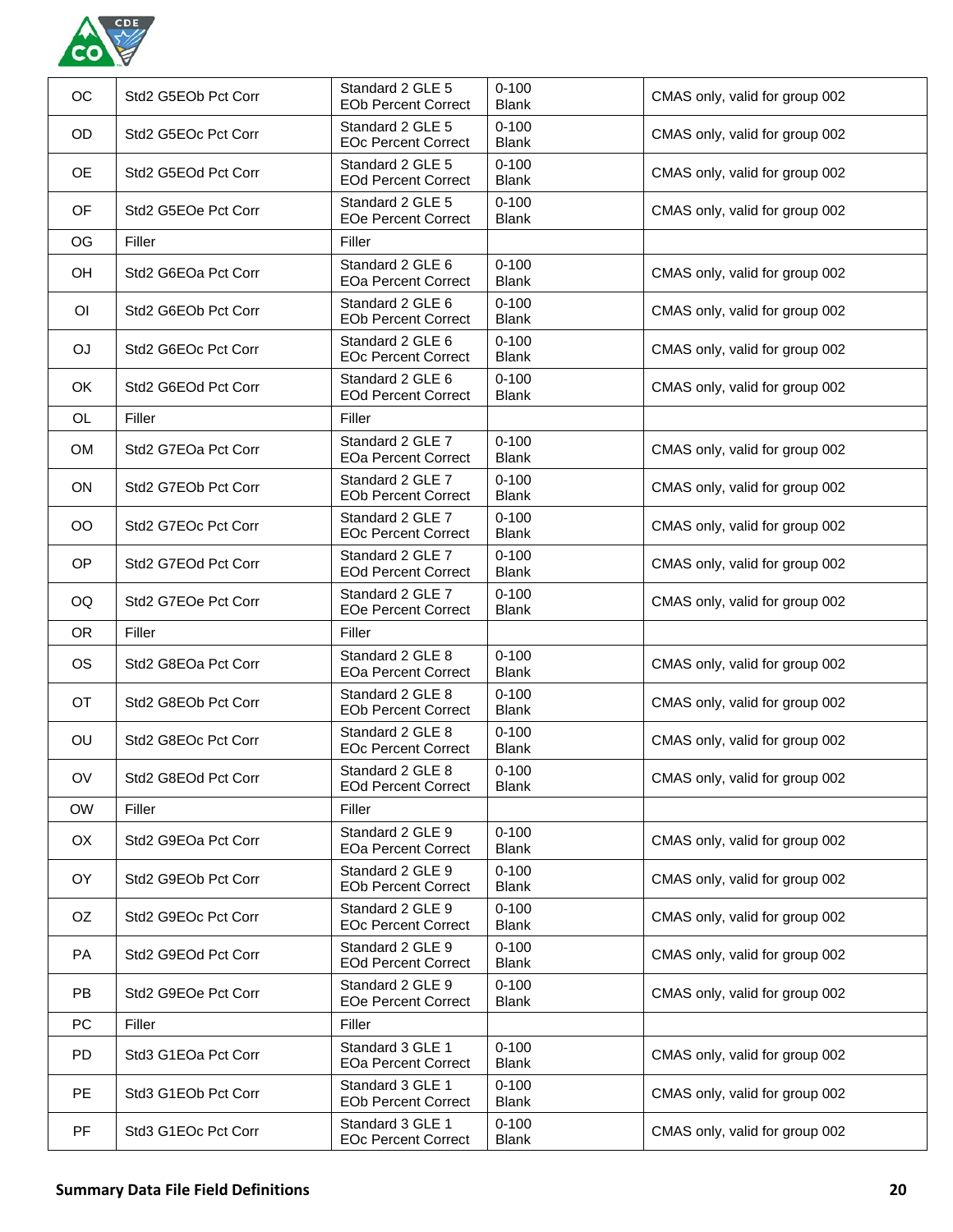

| OC        | Std2 G5EOb Pct Corr | Standard 2 GLE 5<br><b>EOb Percent Correct</b> | $0 - 100$<br><b>Blank</b> | CMAS only, valid for group 002 |
|-----------|---------------------|------------------------------------------------|---------------------------|--------------------------------|
| OD        | Std2 G5EOc Pct Corr | Standard 2 GLE 5<br><b>EOc Percent Correct</b> | $0 - 100$<br><b>Blank</b> | CMAS only, valid for group 002 |
| <b>OE</b> | Std2 G5EOd Pct Corr | Standard 2 GLE 5<br><b>EOd Percent Correct</b> | $0 - 100$<br><b>Blank</b> | CMAS only, valid for group 002 |
| OF        | Std2 G5EOe Pct Corr | Standard 2 GLE 5<br><b>EOe Percent Correct</b> | $0 - 100$<br><b>Blank</b> | CMAS only, valid for group 002 |
| OG        | Filler              | Filler                                         |                           |                                |
| OH        | Std2 G6EOa Pct Corr | Standard 2 GLE 6<br><b>EOa Percent Correct</b> | $0 - 100$<br><b>Blank</b> | CMAS only, valid for group 002 |
| ΟI        | Std2 G6EOb Pct Corr | Standard 2 GLE 6<br><b>EOb Percent Correct</b> | $0 - 100$<br><b>Blank</b> | CMAS only, valid for group 002 |
| OJ        | Std2 G6EOc Pct Corr | Standard 2 GLE 6<br><b>EOc Percent Correct</b> | $0 - 100$<br><b>Blank</b> | CMAS only, valid for group 002 |
| <b>OK</b> | Std2 G6EOd Pct Corr | Standard 2 GLE 6<br><b>EOd Percent Correct</b> | $0 - 100$<br><b>Blank</b> | CMAS only, valid for group 002 |
| <b>OL</b> | Filler              | Filler                                         |                           |                                |
| <b>OM</b> | Std2 G7EOa Pct Corr | Standard 2 GLE 7<br><b>EOa Percent Correct</b> | $0 - 100$<br><b>Blank</b> | CMAS only, valid for group 002 |
| <b>ON</b> | Std2 G7EOb Pct Corr | Standard 2 GLE 7<br><b>EOb Percent Correct</b> | $0 - 100$<br><b>Blank</b> | CMAS only, valid for group 002 |
| OO        | Std2 G7EOc Pct Corr | Standard 2 GLE 7<br><b>EOc Percent Correct</b> | $0 - 100$<br><b>Blank</b> | CMAS only, valid for group 002 |
| <b>OP</b> | Std2 G7EOd Pct Corr | Standard 2 GLE 7<br><b>EOd Percent Correct</b> | $0 - 100$<br><b>Blank</b> | CMAS only, valid for group 002 |
| OQ        | Std2 G7EOe Pct Corr | Standard 2 GLE 7<br><b>EOe Percent Correct</b> | $0 - 100$<br><b>Blank</b> | CMAS only, valid for group 002 |
|           |                     |                                                |                           |                                |
| <b>OR</b> | Filler              | Filler                                         |                           |                                |
| <b>OS</b> | Std2 G8EOa Pct Corr | Standard 2 GLE 8<br><b>EOa Percent Correct</b> | $0 - 100$<br><b>Blank</b> | CMAS only, valid for group 002 |
| <b>OT</b> | Std2 G8EOb Pct Corr | Standard 2 GLE 8<br><b>EOb Percent Correct</b> | $0 - 100$<br><b>Blank</b> | CMAS only, valid for group 002 |
| OU        | Std2 G8EOc Pct Corr | Standard 2 GLE 8<br><b>EOc Percent Correct</b> | $0 - 100$<br><b>Blank</b> | CMAS only, valid for group 002 |
| OV        | Std2 G8EOd Pct Corr | Standard 2 GLE 8<br><b>EOd Percent Correct</b> | $0 - 100$<br><b>Blank</b> | CMAS only, valid for group 002 |
| <b>OW</b> | Filler              | Filler                                         |                           |                                |
| OX        | Std2 G9EOa Pct Corr | Standard 2 GLE 9<br><b>EOa Percent Correct</b> | $0 - 100$<br><b>Blank</b> | CMAS only, valid for group 002 |
| OY.       | Std2 G9EOb Pct Corr | Standard 2 GLE 9<br><b>EOb Percent Correct</b> | $0 - 100$<br><b>Blank</b> | CMAS only, valid for group 002 |
| OZ.       | Std2 G9EOc Pct Corr | Standard 2 GLE 9<br><b>EOc Percent Correct</b> | $0 - 100$<br><b>Blank</b> | CMAS only, valid for group 002 |
| <b>PA</b> | Std2 G9EOd Pct Corr | Standard 2 GLE 9<br><b>EOd Percent Correct</b> | $0 - 100$<br><b>Blank</b> | CMAS only, valid for group 002 |
| <b>PB</b> | Std2 G9EOe Pct Corr | Standard 2 GLE 9<br><b>EOe Percent Correct</b> | $0 - 100$<br><b>Blank</b> | CMAS only, valid for group 002 |
| PC        | Filler              | Filler                                         |                           |                                |
| <b>PD</b> | Std3 G1EOa Pct Corr | Standard 3 GLE 1<br><b>EOa Percent Correct</b> | $0 - 100$<br><b>Blank</b> | CMAS only, valid for group 002 |
| <b>PE</b> | Std3 G1EOb Pct Corr | Standard 3 GLE 1<br><b>EOb Percent Correct</b> | $0 - 100$<br><b>Blank</b> | CMAS only, valid for group 002 |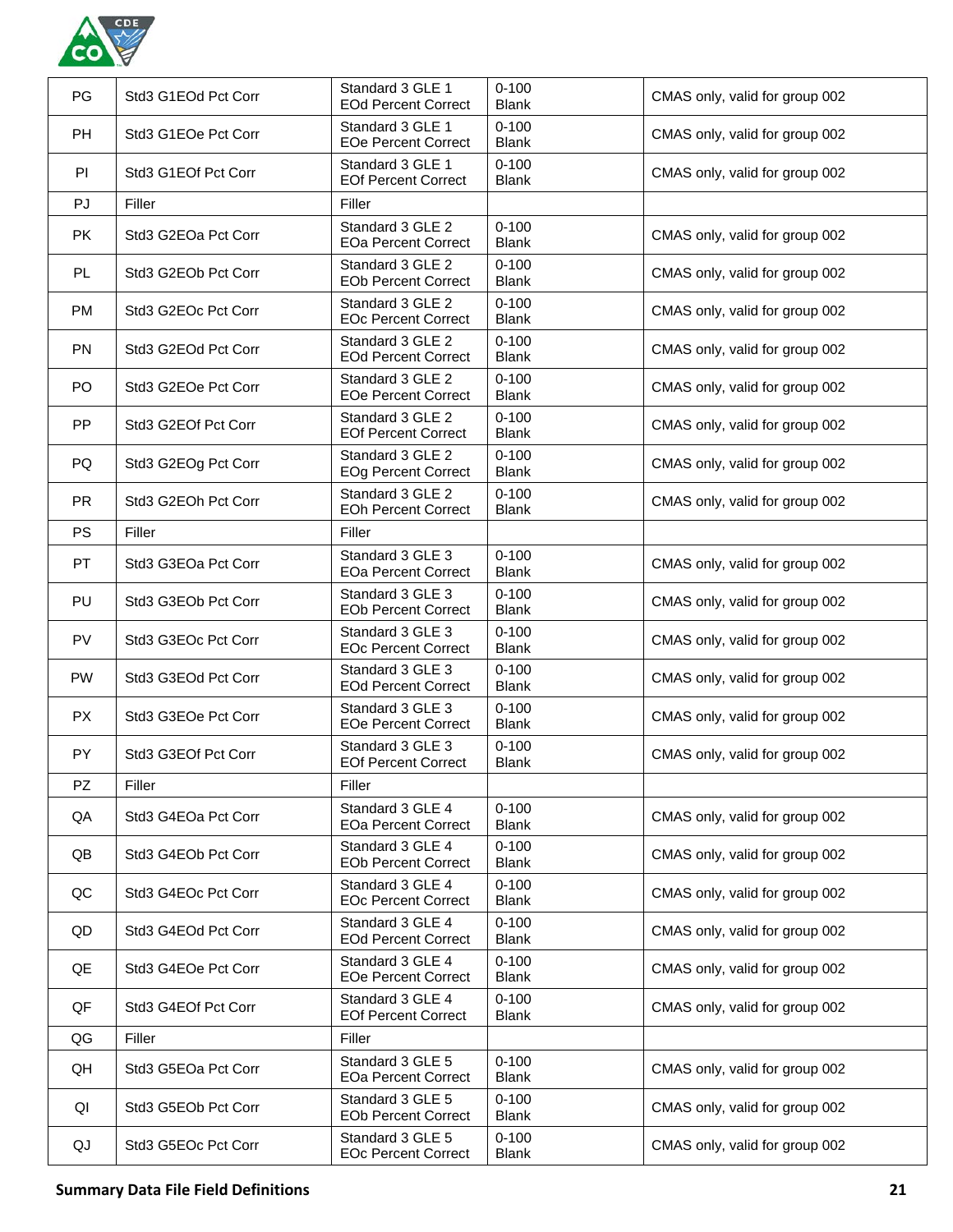

| PG        | Std3 G1EOd Pct Corr | Standard 3 GLE 1<br><b>EOd Percent Correct</b> | $0 - 100$<br><b>Blank</b> | CMAS only, valid for group 002 |
|-----------|---------------------|------------------------------------------------|---------------------------|--------------------------------|
| <b>PH</b> | Std3 G1EOe Pct Corr | Standard 3 GLE 1<br><b>EOe Percent Correct</b> | $0 - 100$<br><b>Blank</b> | CMAS only, valid for group 002 |
| PI        | Std3 G1EOf Pct Corr | Standard 3 GLE 1<br><b>EOf Percent Correct</b> | $0 - 100$<br><b>Blank</b> | CMAS only, valid for group 002 |
| PJ        | Filler              | Filler                                         |                           |                                |
| <b>PK</b> | Std3 G2EOa Pct Corr | Standard 3 GLE 2<br><b>EOa Percent Correct</b> | $0 - 100$<br><b>Blank</b> | CMAS only, valid for group 002 |
| PL.       | Std3 G2EOb Pct Corr | Standard 3 GLE 2<br><b>EOb Percent Correct</b> | $0 - 100$<br><b>Blank</b> | CMAS only, valid for group 002 |
| <b>PM</b> | Std3 G2EOc Pct Corr | Standard 3 GLE 2<br><b>EOc Percent Correct</b> | $0 - 100$<br><b>Blank</b> | CMAS only, valid for group 002 |
| <b>PN</b> | Std3 G2EOd Pct Corr | Standard 3 GLE 2<br><b>EOd Percent Correct</b> | $0 - 100$<br><b>Blank</b> | CMAS only, valid for group 002 |
| PO        | Std3 G2EOe Pct Corr | Standard 3 GLE 2<br><b>EOe Percent Correct</b> | $0 - 100$<br><b>Blank</b> | CMAS only, valid for group 002 |
| PP        | Std3 G2EOf Pct Corr | Standard 3 GLE 2<br><b>EOf Percent Correct</b> | $0 - 100$<br><b>Blank</b> | CMAS only, valid for group 002 |
| PQ        | Std3 G2EOg Pct Corr | Standard 3 GLE 2<br><b>EOg Percent Correct</b> | $0 - 100$<br><b>Blank</b> | CMAS only, valid for group 002 |
| <b>PR</b> | Std3 G2EOh Pct Corr | Standard 3 GLE 2<br><b>EOh Percent Correct</b> | $0 - 100$<br><b>Blank</b> | CMAS only, valid for group 002 |
| <b>PS</b> | Filler              | Filler                                         |                           |                                |
| <b>PT</b> | Std3 G3EOa Pct Corr | Standard 3 GLE 3<br><b>EOa Percent Correct</b> | $0 - 100$<br><b>Blank</b> | CMAS only, valid for group 002 |
| <b>PU</b> | Std3 G3EOb Pct Corr | Standard 3 GLE 3<br><b>EOb Percent Correct</b> | $0 - 100$<br><b>Blank</b> | CMAS only, valid for group 002 |
| PV        | Std3 G3EOc Pct Corr | Standard 3 GLE 3<br><b>EOc Percent Correct</b> | $0 - 100$<br><b>Blank</b> | CMAS only, valid for group 002 |
| <b>PW</b> | Std3 G3EOd Pct Corr | Standard 3 GLE 3<br><b>EOd Percent Correct</b> | $0 - 100$<br><b>Blank</b> | CMAS only, valid for group 002 |
| <b>PX</b> | Std3 G3EOe Pct Corr | Standard 3 GLE 3<br><b>EOe Percent Correct</b> | $0 - 100$<br><b>Blank</b> | CMAS only, valid for group 002 |
| <b>PY</b> | Std3 G3EOf Pct Corr | Standard 3 GLE 3<br><b>EOf Percent Correct</b> | $0 - 100$<br><b>Blank</b> | CMAS only, valid for group 002 |
| PZ        | Filler              | Filler                                         |                           |                                |
| QA        | Std3 G4EOa Pct Corr | Standard 3 GLE 4<br><b>EOa Percent Correct</b> | $0 - 100$<br><b>Blank</b> | CMAS only, valid for group 002 |
| QB        | Std3 G4EOb Pct Corr | Standard 3 GLE 4<br><b>EOb Percent Correct</b> | $0 - 100$<br><b>Blank</b> | CMAS only, valid for group 002 |
| QC        | Std3 G4EOc Pct Corr | Standard 3 GLE 4<br><b>EOc Percent Correct</b> | $0 - 100$<br><b>Blank</b> | CMAS only, valid for group 002 |
| QD        | Std3 G4EOd Pct Corr | Standard 3 GLE 4<br><b>EOd Percent Correct</b> | $0 - 100$<br><b>Blank</b> | CMAS only, valid for group 002 |
| QE        | Std3 G4EOe Pct Corr | Standard 3 GLE 4<br><b>EOe Percent Correct</b> | $0 - 100$<br><b>Blank</b> | CMAS only, valid for group 002 |
| QF        | Std3 G4EOf Pct Corr | Standard 3 GLE 4<br><b>EOf Percent Correct</b> | $0 - 100$<br><b>Blank</b> | CMAS only, valid for group 002 |
| QG        | Filler              | Filler                                         |                           |                                |
| QH        | Std3 G5EOa Pct Corr | Standard 3 GLE 5<br><b>EOa Percent Correct</b> | $0 - 100$<br><b>Blank</b> | CMAS only, valid for group 002 |
| QI        | Std3 G5EOb Pct Corr | Standard 3 GLE 5<br><b>EOb Percent Correct</b> | $0 - 100$<br><b>Blank</b> | CMAS only, valid for group 002 |
| QJ        | Std3 G5EOc Pct Corr | Standard 3 GLE 5<br><b>EOc Percent Correct</b> | $0 - 100$<br><b>Blank</b> | CMAS only, valid for group 002 |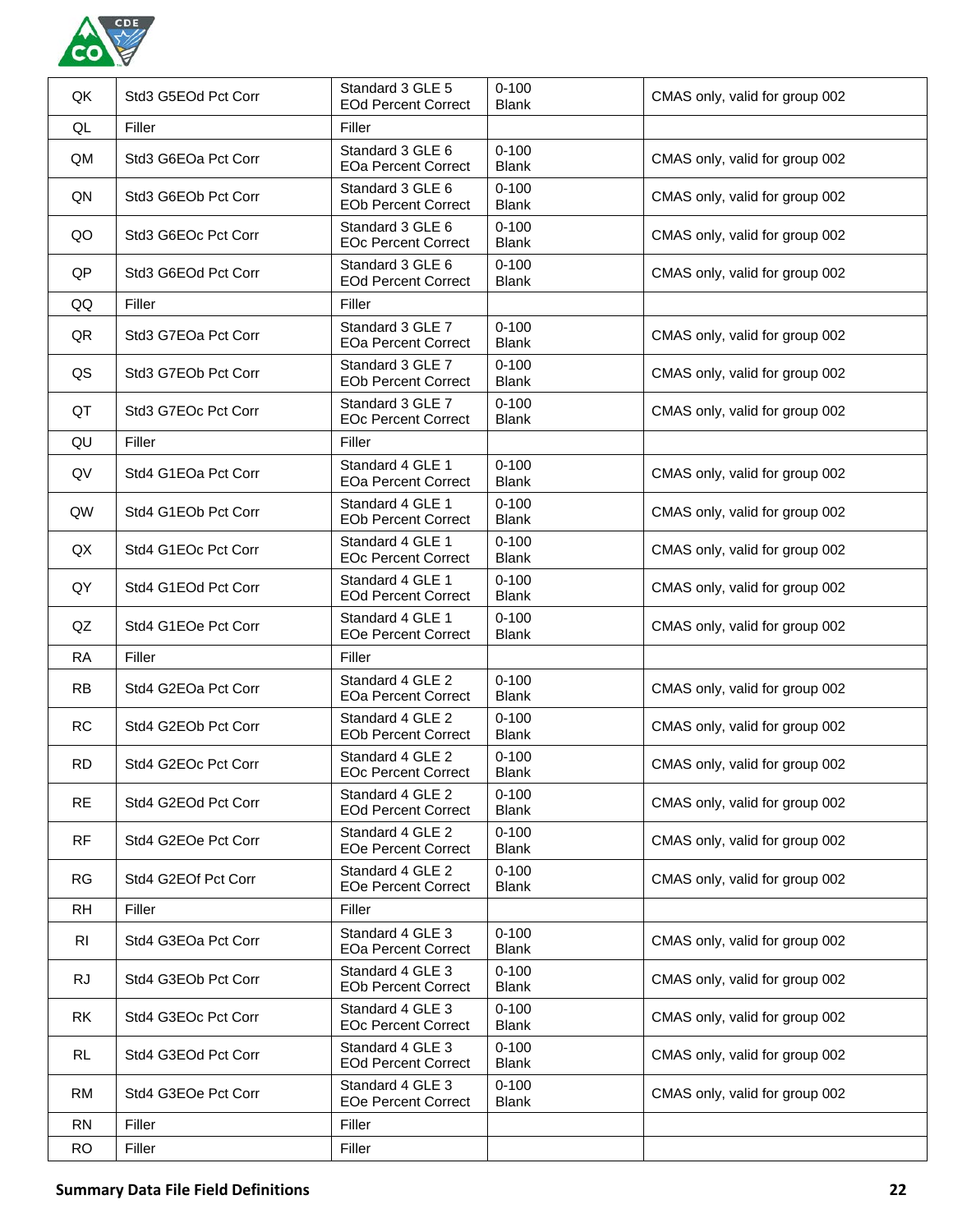

| QK        | Std3 G5EOd Pct Corr | Standard 3 GLE 5<br><b>EOd Percent Correct</b> | $0 - 100$<br><b>Blank</b> | CMAS only, valid for group 002 |
|-----------|---------------------|------------------------------------------------|---------------------------|--------------------------------|
| QL        | Filler              | Filler                                         |                           |                                |
| QM        | Std3 G6EOa Pct Corr | Standard 3 GLE 6<br><b>EOa Percent Correct</b> | $0 - 100$<br><b>Blank</b> | CMAS only, valid for group 002 |
| QN        | Std3 G6EOb Pct Corr | Standard 3 GLE 6<br><b>EOb Percent Correct</b> | $0 - 100$<br><b>Blank</b> | CMAS only, valid for group 002 |
| QO        | Std3 G6EOc Pct Corr | Standard 3 GLE 6<br><b>EOc Percent Correct</b> | $0 - 100$<br><b>Blank</b> | CMAS only, valid for group 002 |
| QP        | Std3 G6EOd Pct Corr | Standard 3 GLE 6<br><b>EOd Percent Correct</b> | $0 - 100$<br><b>Blank</b> | CMAS only, valid for group 002 |
| QQ        | Filler              | Filler                                         |                           |                                |
| QR        | Std3 G7EOa Pct Corr | Standard 3 GLE 7<br><b>EOa Percent Correct</b> | $0 - 100$<br><b>Blank</b> | CMAS only, valid for group 002 |
| QS        | Std3 G7EOb Pct Corr | Standard 3 GLE 7<br><b>EOb Percent Correct</b> | $0 - 100$<br><b>Blank</b> | CMAS only, valid for group 002 |
| QT        | Std3 G7EOc Pct Corr | Standard 3 GLE 7<br><b>EOc Percent Correct</b> | $0 - 100$<br><b>Blank</b> | CMAS only, valid for group 002 |
| QU        | Filler              | Filler                                         |                           |                                |
| QV        | Std4 G1EOa Pct Corr | Standard 4 GLE 1<br><b>EOa Percent Correct</b> | $0 - 100$<br><b>Blank</b> | CMAS only, valid for group 002 |
| QW        | Std4 G1EOb Pct Corr | Standard 4 GLE 1<br><b>EOb Percent Correct</b> | $0 - 100$<br><b>Blank</b> | CMAS only, valid for group 002 |
| QX        | Std4 G1EOc Pct Corr | Standard 4 GLE 1<br><b>EOc Percent Correct</b> | $0 - 100$<br><b>Blank</b> | CMAS only, valid for group 002 |
| QY        | Std4 G1EOd Pct Corr | Standard 4 GLE 1<br><b>EOd Percent Correct</b> | $0 - 100$<br><b>Blank</b> | CMAS only, valid for group 002 |
| QZ        | Std4 G1EOe Pct Corr | Standard 4 GLE 1<br><b>EOe Percent Correct</b> | $0 - 100$<br><b>Blank</b> | CMAS only, valid for group 002 |
| <b>RA</b> | Filler              | Filler                                         |                           |                                |
| <b>RB</b> | Std4 G2EOa Pct Corr | Standard 4 GLE 2<br><b>EOa Percent Correct</b> | $0 - 100$<br><b>Blank</b> | CMAS only, valid for group 002 |
| <b>RC</b> | Std4 G2EOb Pct Corr | Standard 4 GLE 2<br><b>EOb Percent Correct</b> | $0 - 100$<br><b>Blank</b> | CMAS only, valid for group 002 |
| <b>RD</b> | Std4 G2EOc Pct Corr | Standard 4 GLE 2<br><b>EOc Percent Correct</b> | $0 - 100$<br><b>Blank</b> | CMAS only, valid for group 002 |
| <b>RE</b> | Std4 G2EOd Pct Corr | Standard 4 GLE 2<br><b>EOd Percent Correct</b> | $0 - 100$<br><b>Blank</b> | CMAS only, valid for group 002 |
| <b>RF</b> | Std4 G2EOe Pct Corr | Standard 4 GLE 2<br><b>EOe Percent Correct</b> | $0 - 100$<br><b>Blank</b> | CMAS only, valid for group 002 |
| <b>RG</b> | Std4 G2EOf Pct Corr | Standard 4 GLE 2<br><b>EOe Percent Correct</b> | $0 - 100$<br><b>Blank</b> | CMAS only, valid for group 002 |
| <b>RH</b> | Filler              | Filler                                         |                           |                                |
| <b>RI</b> | Std4 G3EOa Pct Corr | Standard 4 GLE 3<br><b>EOa Percent Correct</b> | $0 - 100$<br><b>Blank</b> | CMAS only, valid for group 002 |
| RJ        | Std4 G3EOb Pct Corr | Standard 4 GLE 3<br><b>EOb Percent Correct</b> | $0 - 100$<br><b>Blank</b> | CMAS only, valid for group 002 |
| RK        | Std4 G3EOc Pct Corr | Standard 4 GLE 3<br><b>EOc Percent Correct</b> | $0 - 100$<br><b>Blank</b> | CMAS only, valid for group 002 |
| RL        | Std4 G3EOd Pct Corr | Standard 4 GLE 3<br><b>EOd Percent Correct</b> | $0 - 100$<br><b>Blank</b> | CMAS only, valid for group 002 |
| <b>RM</b> | Std4 G3EOe Pct Corr | Standard 4 GLE 3<br><b>EOe Percent Correct</b> | $0 - 100$<br><b>Blank</b> | CMAS only, valid for group 002 |
| <b>RN</b> | Filler              | Filler                                         |                           |                                |
| <b>RO</b> | Filler              | Filler                                         |                           |                                |